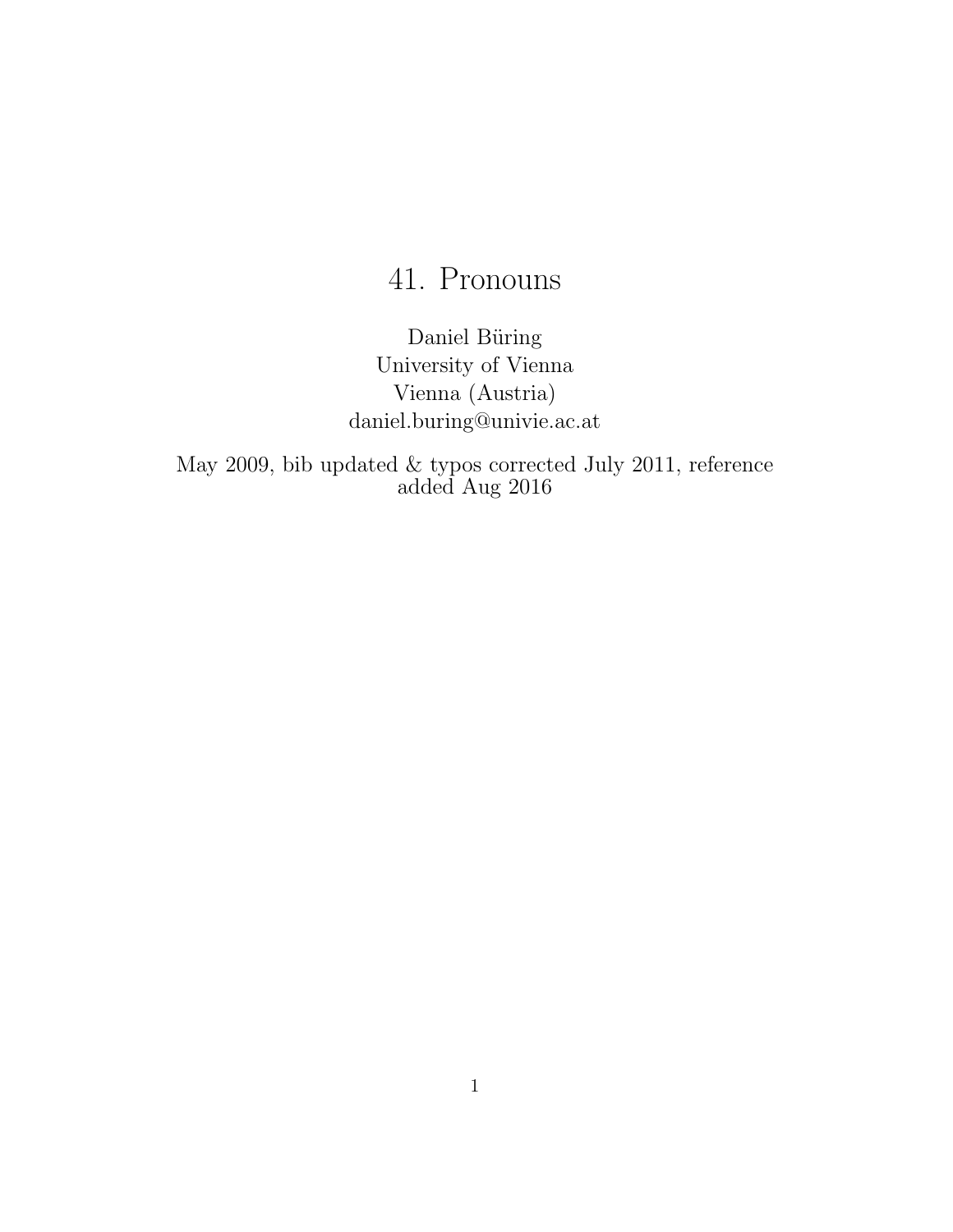# 41. Pronouns

Daniel Büring University of Vienna Vienna (Austria) daniel.buring@univie.ac.at

May 2009, bib updated & typos corrected July 2011, reference added Aug 2016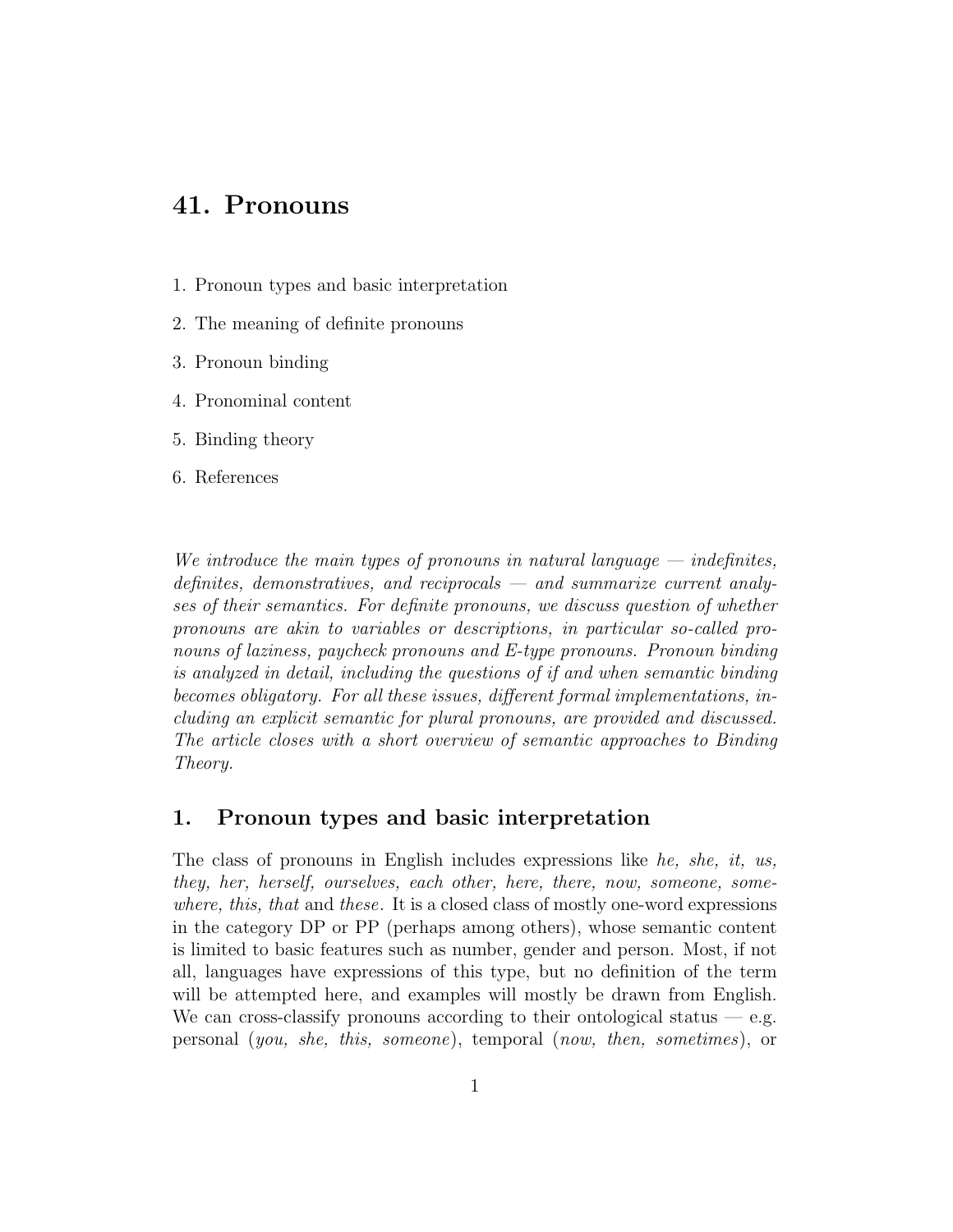# 41. Pronouns

- 1. Pronoun types and basic interpretation
- 2. The meaning of definite pronouns
- 3. Pronoun binding
- 4. Pronominal content
- 5. Binding theory
- 6. References

We introduce the main types of pronouns in natural language  $-$  indefinites, definites, demonstratives, and reciprocals — and summarize current analyses of their semantics. For definite pronouns, we discuss question of whether pronouns are akin to variables or descriptions, in particular so-called pronouns of laziness, paycheck pronouns and E-type pronouns. Pronoun binding is analyzed in detail, including the questions of if and when semantic binding becomes obligatory. For all these issues, different formal implementations, including an explicit semantic for plural pronouns, are provided and discussed. The article closes with a short overview of semantic approaches to Binding Theory.

### 1. Pronoun types and basic interpretation

The class of pronouns in English includes expressions like he, she, it, us, they, her, herself, ourselves, each other, here, there, now, someone, somewhere, this, that and these. It is a closed class of mostly one-word expressions in the category DP or PP (perhaps among others), whose semantic content is limited to basic features such as number, gender and person. Most, if not all, languages have expressions of this type, but no definition of the term will be attempted here, and examples will mostly be drawn from English. We can cross-classify pronouns according to their ontological status  $-$  e.g. personal (you, she, this, someone), temporal (now, then, sometimes), or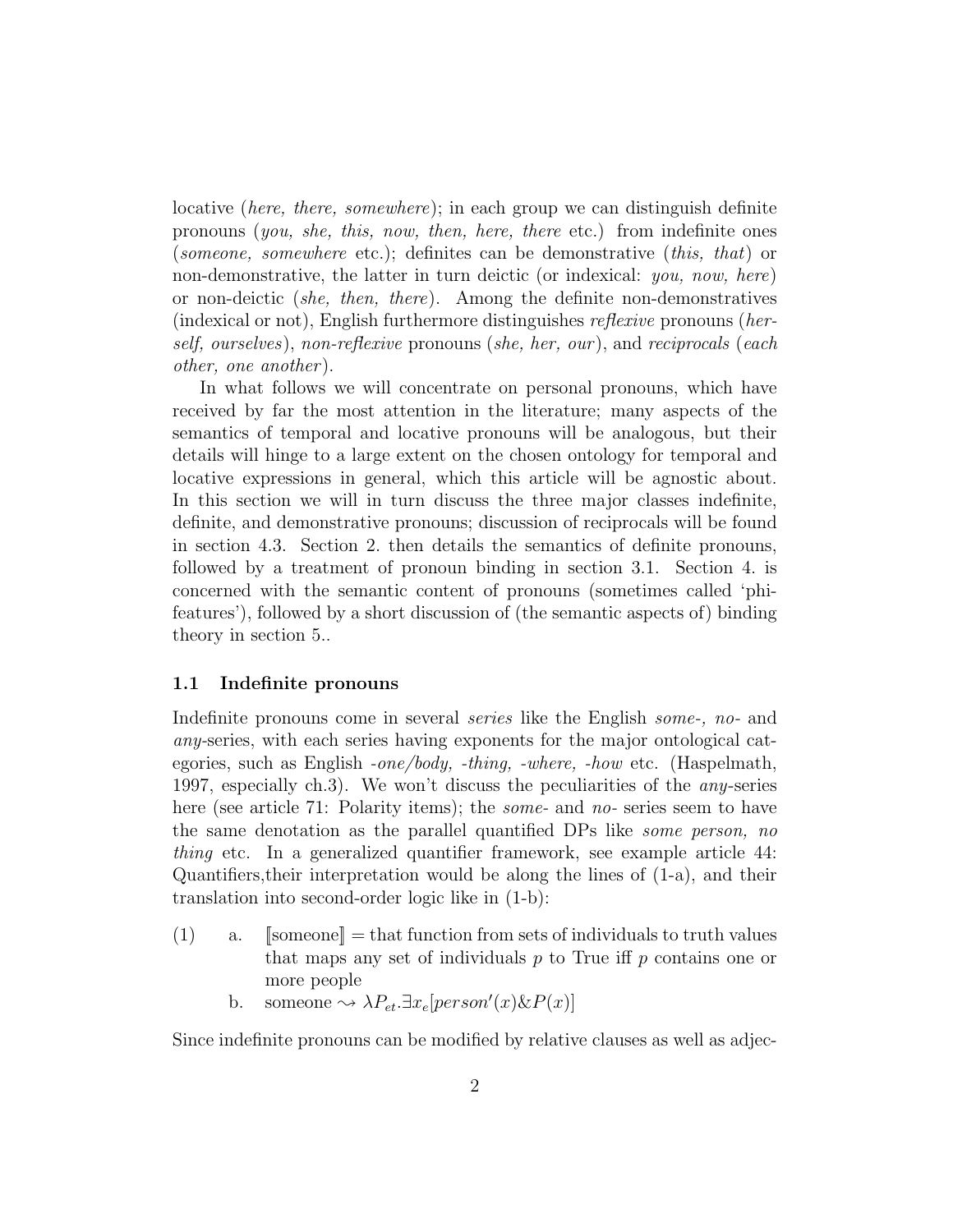locative (here, there, somewhere); in each group we can distinguish definite pronouns (you, she, this, now, then, here, there etc.) from indefinite ones (someone, somewhere etc.); definites can be demonstrative (this, that) or non-demonstrative, the latter in turn deictic (or indexical: you, now, here) or non-deictic (she, then, there). Among the definite non-demonstratives (indexical or not), English furthermore distinguishes reflexive pronouns (herself, ourselves), non-reflexive pronouns (she, her, our ), and reciprocals (each other, one another ).

In what follows we will concentrate on personal pronouns, which have received by far the most attention in the literature; many aspects of the semantics of temporal and locative pronouns will be analogous, but their details will hinge to a large extent on the chosen ontology for temporal and locative expressions in general, which this article will be agnostic about. In this section we will in turn discuss the three major classes indefinite, definite, and demonstrative pronouns; discussion of reciprocals will be found in section 4.3. Section 2. then details the semantics of definite pronouns, followed by a treatment of pronoun binding in section 3.1. Section 4. is concerned with the semantic content of pronouns (sometimes called 'phifeatures'), followed by a short discussion of (the semantic aspects of) binding theory in section 5..

#### 1.1 Indefinite pronouns

Indefinite pronouns come in several series like the English some-, no- and any-series, with each series having exponents for the major ontological categories, such as English -one/body, -thing, -where, -how etc. (Haspelmath, 1997, especially ch.3). We won't discuss the peculiarities of the any-series here (see article 71: Polarity items); the *some*- and *no*- series seem to have the same denotation as the parallel quantified DPs like some person, no thing etc. In a generalized quantifier framework, see example article 44: Quantifiers,their interpretation would be along the lines of (1-a), and their translation into second-order logic like in (1-b):

- $(1)$  a. [[someone]] = that function from sets of individuals to truth values that maps any set of individuals  $p$  to True iff  $p$  contains one or more people
	- b. someone  $\rightsquigarrow \lambda P_{et}.\exists x_e [person'(x) \& P(x)]$

Since indefinite pronouns can be modified by relative clauses as well as adjec-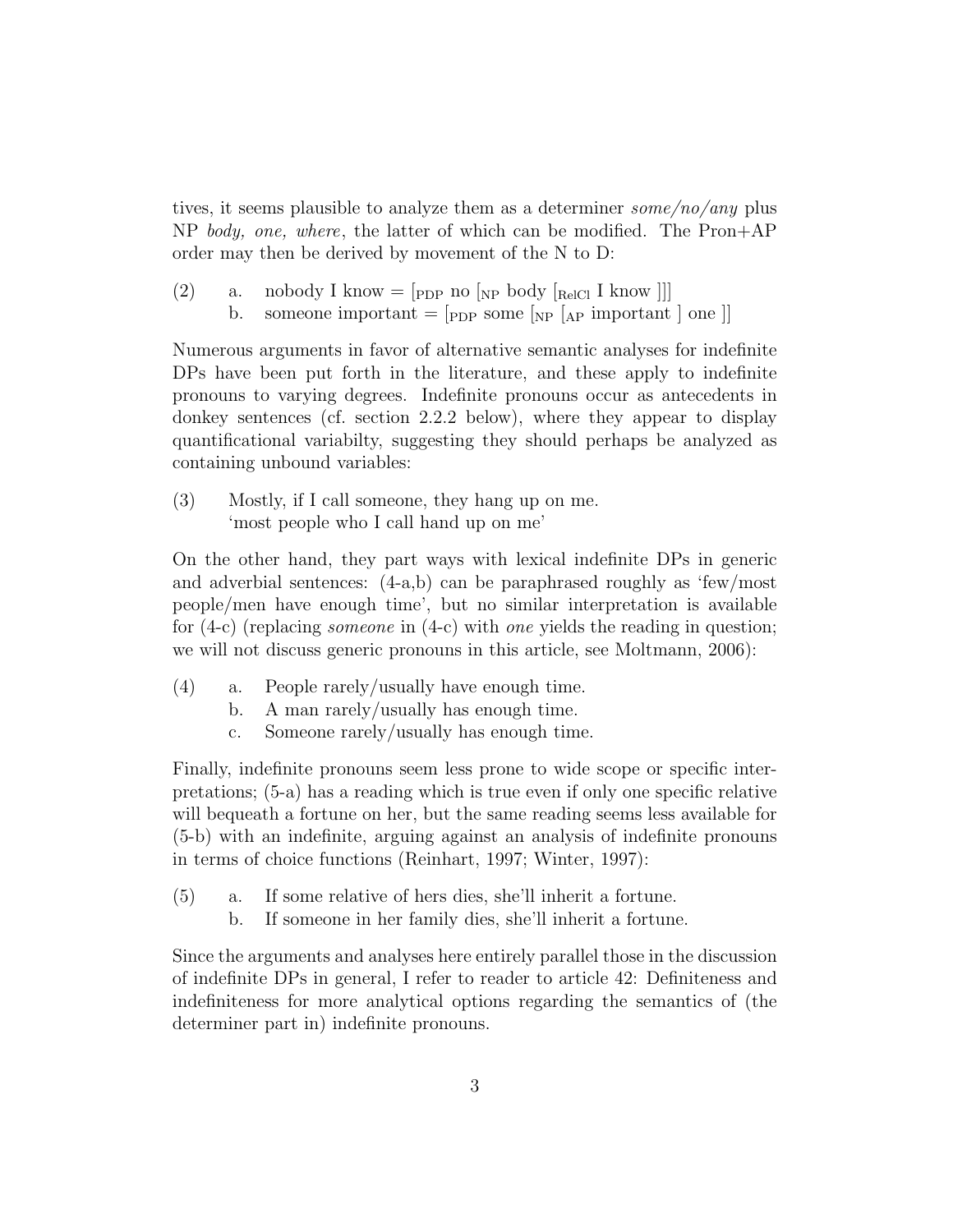tives, it seems plausible to analyze them as a determiner  $some/no/any$  plus NP body, one, where, the latter of which can be modified. The  $Pron+AP$ order may then be derived by movement of the N to D:

- (2) a. nobody I know  $=$  [PDP no [NP body [RelCl I know ]]]
	- b. someone important  $=$  [<sub>PDP</sub> some [<sub>NP</sub> [<sub>AP</sub> important ] one ]]

Numerous arguments in favor of alternative semantic analyses for indefinite DPs have been put forth in the literature, and these apply to indefinite pronouns to varying degrees. Indefinite pronouns occur as antecedents in donkey sentences (cf. section 2.2.2 below), where they appear to display quantificational variabilty, suggesting they should perhaps be analyzed as containing unbound variables:

(3) Mostly, if I call someone, they hang up on me. 'most people who I call hand up on me'

On the other hand, they part ways with lexical indefinite DPs in generic and adverbial sentences: (4-a,b) can be paraphrased roughly as 'few/most people/men have enough time', but no similar interpretation is available for  $(4-c)$  (replacing *someone* in  $(4-c)$  with *one* yields the reading in question; we will not discuss generic pronouns in this article, see Moltmann, 2006):

- (4) a. People rarely/usually have enough time.
	- b. A man rarely/usually has enough time.
	- c. Someone rarely/usually has enough time.

Finally, indefinite pronouns seem less prone to wide scope or specific interpretations; (5-a) has a reading which is true even if only one specific relative will bequeath a fortune on her, but the same reading seems less available for (5-b) with an indefinite, arguing against an analysis of indefinite pronouns in terms of choice functions (Reinhart, 1997; Winter, 1997):

- (5) a. If some relative of hers dies, she'll inherit a fortune.
	- b. If someone in her family dies, she'll inherit a fortune.

Since the arguments and analyses here entirely parallel those in the discussion of indefinite DPs in general, I refer to reader to article 42: Definiteness and indefiniteness for more analytical options regarding the semantics of (the determiner part in) indefinite pronouns.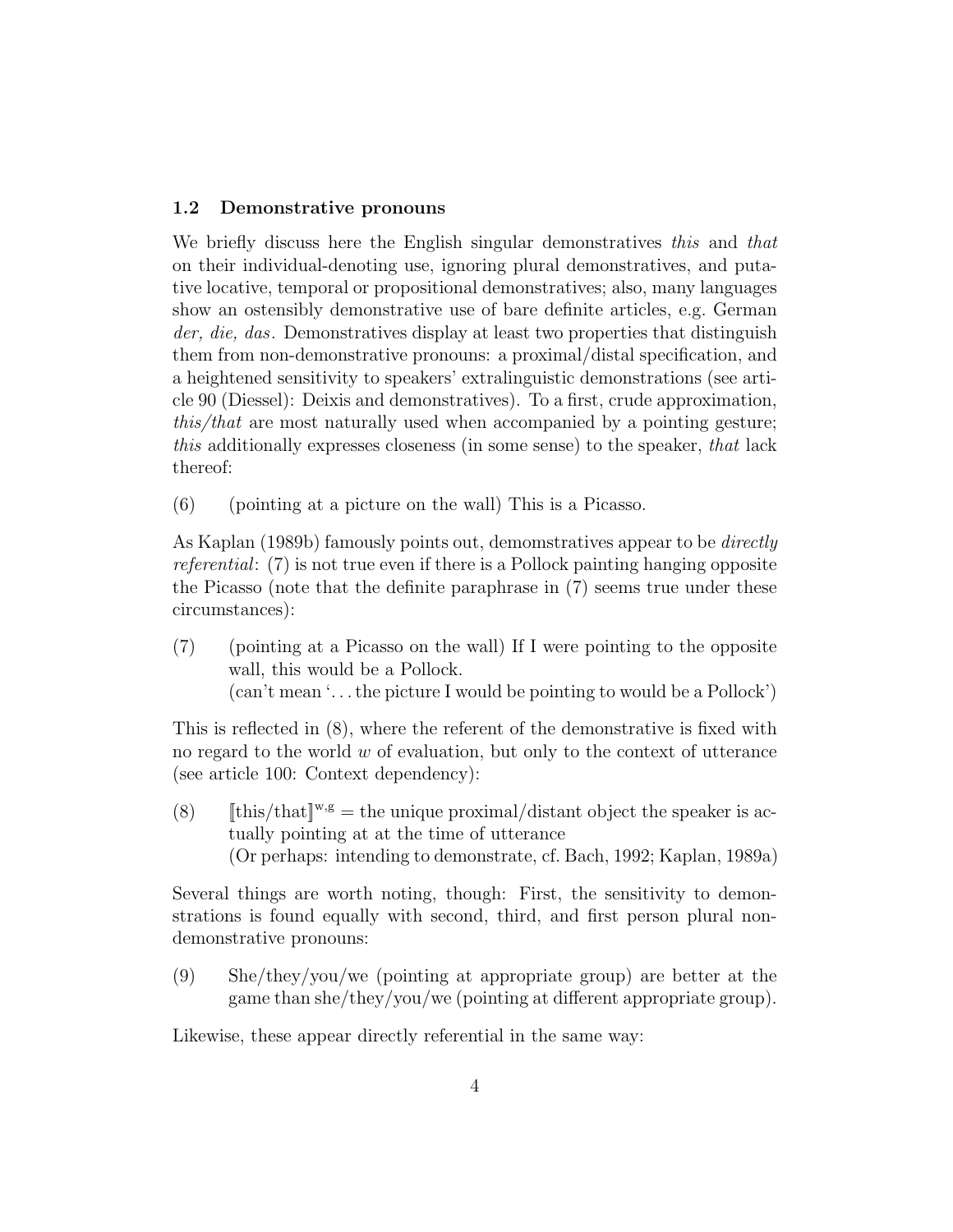#### 1.2 Demonstrative pronouns

We briefly discuss here the English singular demonstratives this and that on their individual-denoting use, ignoring plural demonstratives, and putative locative, temporal or propositional demonstratives; also, many languages show an ostensibly demonstrative use of bare definite articles, e.g. German der, die, das. Demonstratives display at least two properties that distinguish them from non-demonstrative pronouns: a proximal/distal specification, and a heightened sensitivity to speakers' extralinguistic demonstrations (see article 90 (Diessel): Deixis and demonstratives). To a first, crude approximation, this/that are most naturally used when accompanied by a pointing gesture; this additionally expresses closeness (in some sense) to the speaker, that lack thereof:

(6) (pointing at a picture on the wall) This is a Picasso.

As Kaplan (1989b) famously points out, demonstratives appear to be *directly* referential: (7) is not true even if there is a Pollock painting hanging opposite the Picasso (note that the definite paraphrase in (7) seems true under these circumstances):

(7) (pointing at a Picasso on the wall) If I were pointing to the opposite wall, this would be a Pollock. (can't mean '. . . the picture I would be pointing to would be a Pollock')

This is reflected in (8), where the referent of the demonstrative is fixed with no regard to the world  $w$  of evaluation, but only to the context of utterance (see article 100: Context dependency):

(8) [this/that]<sup>w,g</sup> = the unique proximal/distant object the speaker is actually pointing at at the time of utterance (Or perhaps: intending to demonstrate, cf. Bach, 1992; Kaplan, 1989a)

Several things are worth noting, though: First, the sensitivity to demonstrations is found equally with second, third, and first person plural nondemonstrative pronouns:

(9) She/they/you/we (pointing at appropriate group) are better at the game than she/they/you/we (pointing at different appropriate group).

Likewise, these appear directly referential in the same way: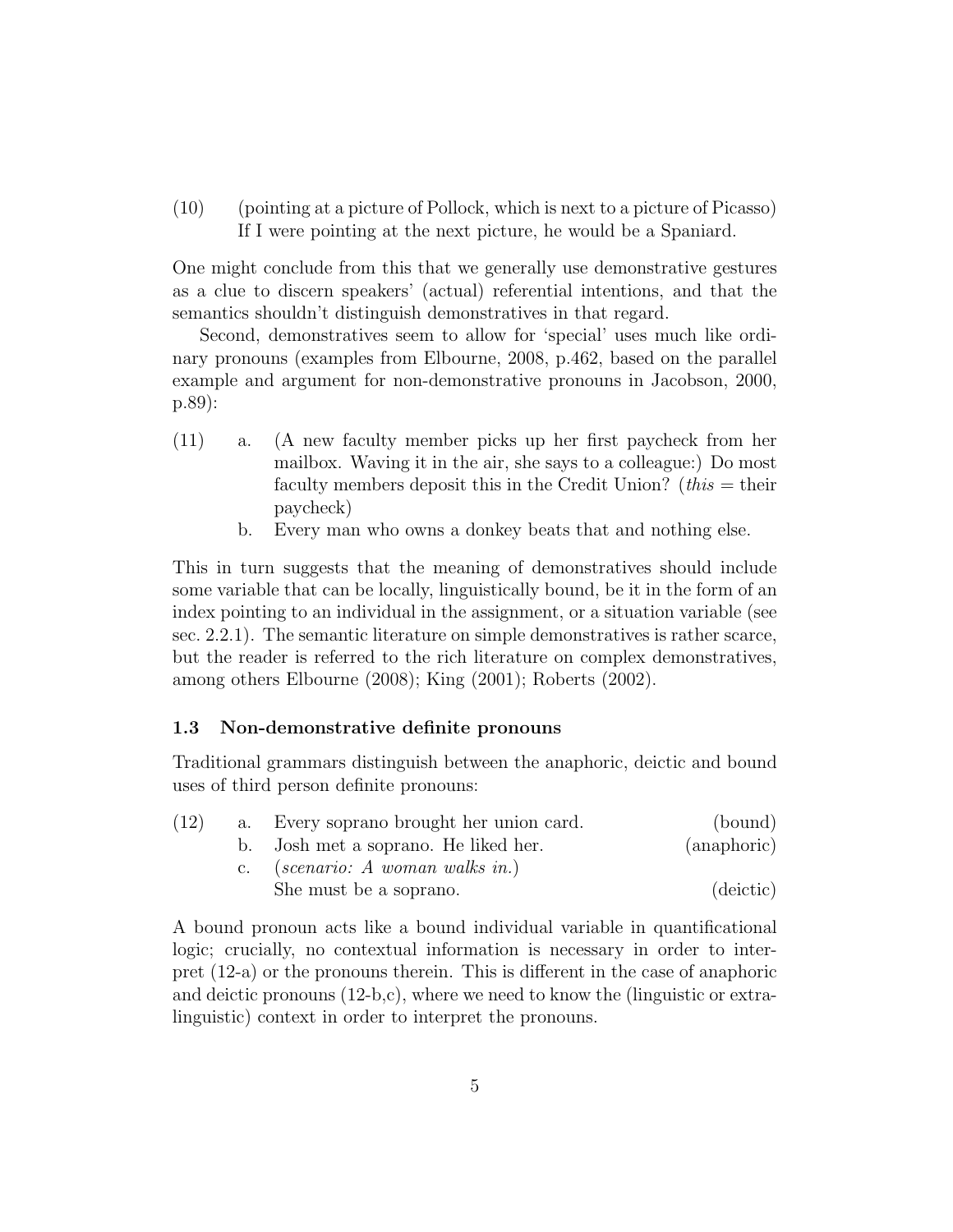(10) (pointing at a picture of Pollock, which is next to a picture of Picasso) If I were pointing at the next picture, he would be a Spaniard.

One might conclude from this that we generally use demonstrative gestures as a clue to discern speakers' (actual) referential intentions, and that the semantics shouldn't distinguish demonstratives in that regard.

Second, demonstratives seem to allow for 'special' uses much like ordinary pronouns (examples from Elbourne, 2008, p.462, based on the parallel example and argument for non-demonstrative pronouns in Jacobson, 2000, p.89):

- (11) a. (A new faculty member picks up her first paycheck from her mailbox. Waving it in the air, she says to a colleague:) Do most faculty members deposit this in the Credit Union? (this  $=$  their paycheck)
	- b. Every man who owns a donkey beats that and nothing else.

This in turn suggests that the meaning of demonstratives should include some variable that can be locally, linguistically bound, be it in the form of an index pointing to an individual in the assignment, or a situation variable (see sec. 2.2.1). The semantic literature on simple demonstratives is rather scarce, but the reader is referred to the rich literature on complex demonstratives, among others Elbourne (2008); King (2001); Roberts (2002).

#### 1.3 Non-demonstrative definite pronouns

Traditional grammars distinguish between the anaphoric, deictic and bound uses of third person definite pronouns:

| (12) | a. Every soprano brought her union card. | (bound)     |
|------|------------------------------------------|-------------|
|      | b. Josh met a soprano. He liked her.     | (anaphoric) |
|      | c. (scenario: A woman walks in.)         |             |
|      | She must be a soprano.                   | (deictic)   |
|      |                                          |             |

A bound pronoun acts like a bound individual variable in quantificational logic; crucially, no contextual information is necessary in order to interpret (12-a) or the pronouns therein. This is different in the case of anaphoric and deictic pronouns  $(12-b,c)$ , where we need to know the (linguistic or extralinguistic) context in order to interpret the pronouns.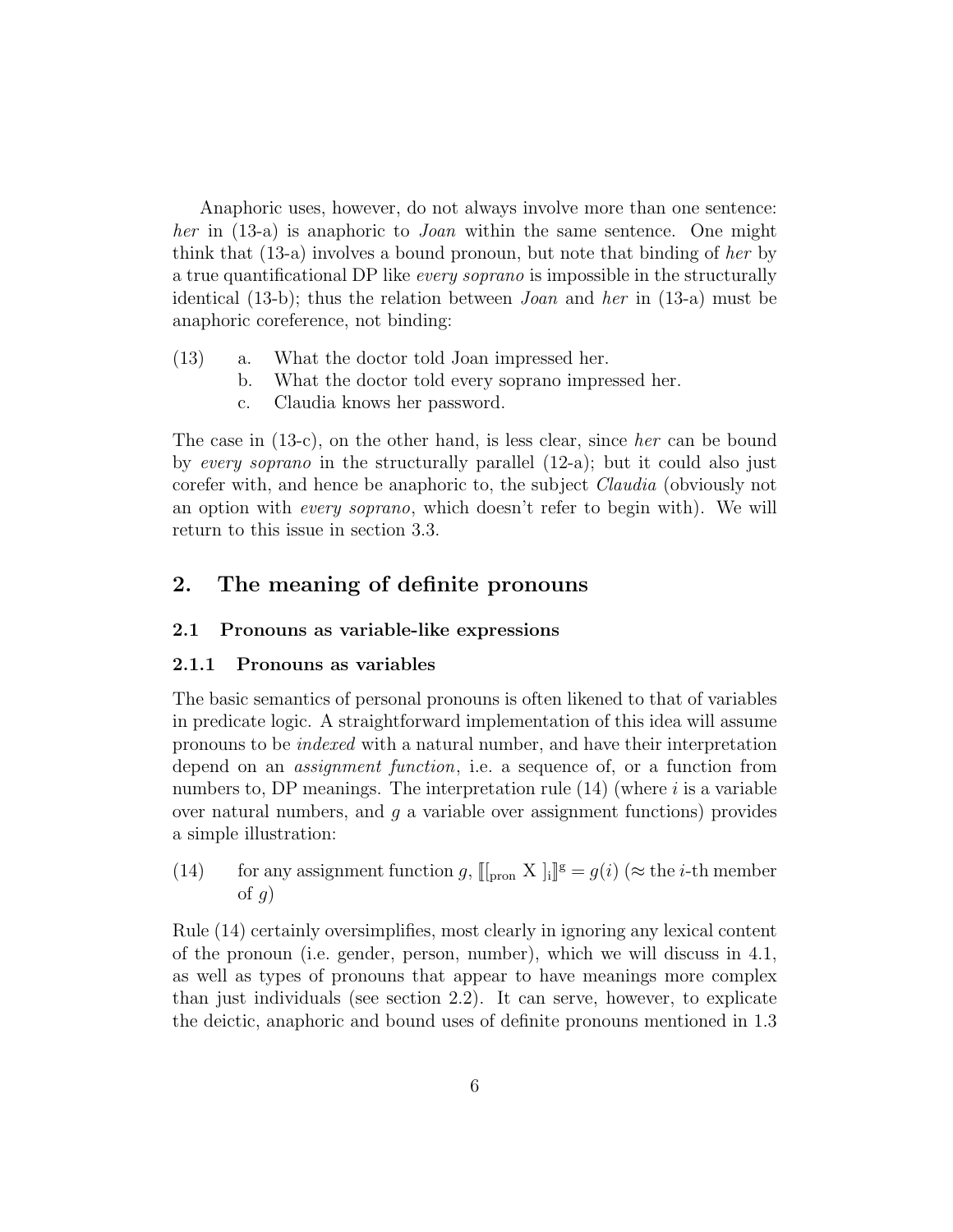Anaphoric uses, however, do not always involve more than one sentence: her in (13-a) is anaphoric to Joan within the same sentence. One might think that (13-a) involves a bound pronoun, but note that binding of her by a true quantificational DP like every soprano is impossible in the structurally identical (13-b); thus the relation between *Joan* and *her* in (13-a) must be anaphoric coreference, not binding:

- (13) a. What the doctor told Joan impressed her.
	- b. What the doctor told every soprano impressed her.
	- c. Claudia knows her password.

The case in (13-c), on the other hand, is less clear, since her can be bound by every soprano in the structurally parallel (12-a); but it could also just corefer with, and hence be anaphoric to, the subject *Claudia* (obviously not an option with every soprano, which doesn't refer to begin with). We will return to this issue in section 3.3.

# 2. The meaning of definite pronouns

#### 2.1 Pronouns as variable-like expressions

#### 2.1.1 Pronouns as variables

The basic semantics of personal pronouns is often likened to that of variables in predicate logic. A straightforward implementation of this idea will assume pronouns to be indexed with a natural number, and have their interpretation depend on an *assignment function*, i.e. a sequence of, or a function from numbers to, DP meanings. The interpretation rule  $(14)$  (where i is a variable over natural numbers, and  $g$  a variable over assignment functions) provides a simple illustration:

(14) for any assignment function g,  $[\![]_{\text{pron}} \ X \ ]_i]^g = g(i)$  ( $\approx$  the *i*-th member of  $q$ )

Rule (14) certainly oversimplifies, most clearly in ignoring any lexical content of the pronoun (i.e. gender, person, number), which we will discuss in 4.1, as well as types of pronouns that appear to have meanings more complex than just individuals (see section 2.2). It can serve, however, to explicate the deictic, anaphoric and bound uses of definite pronouns mentioned in 1.3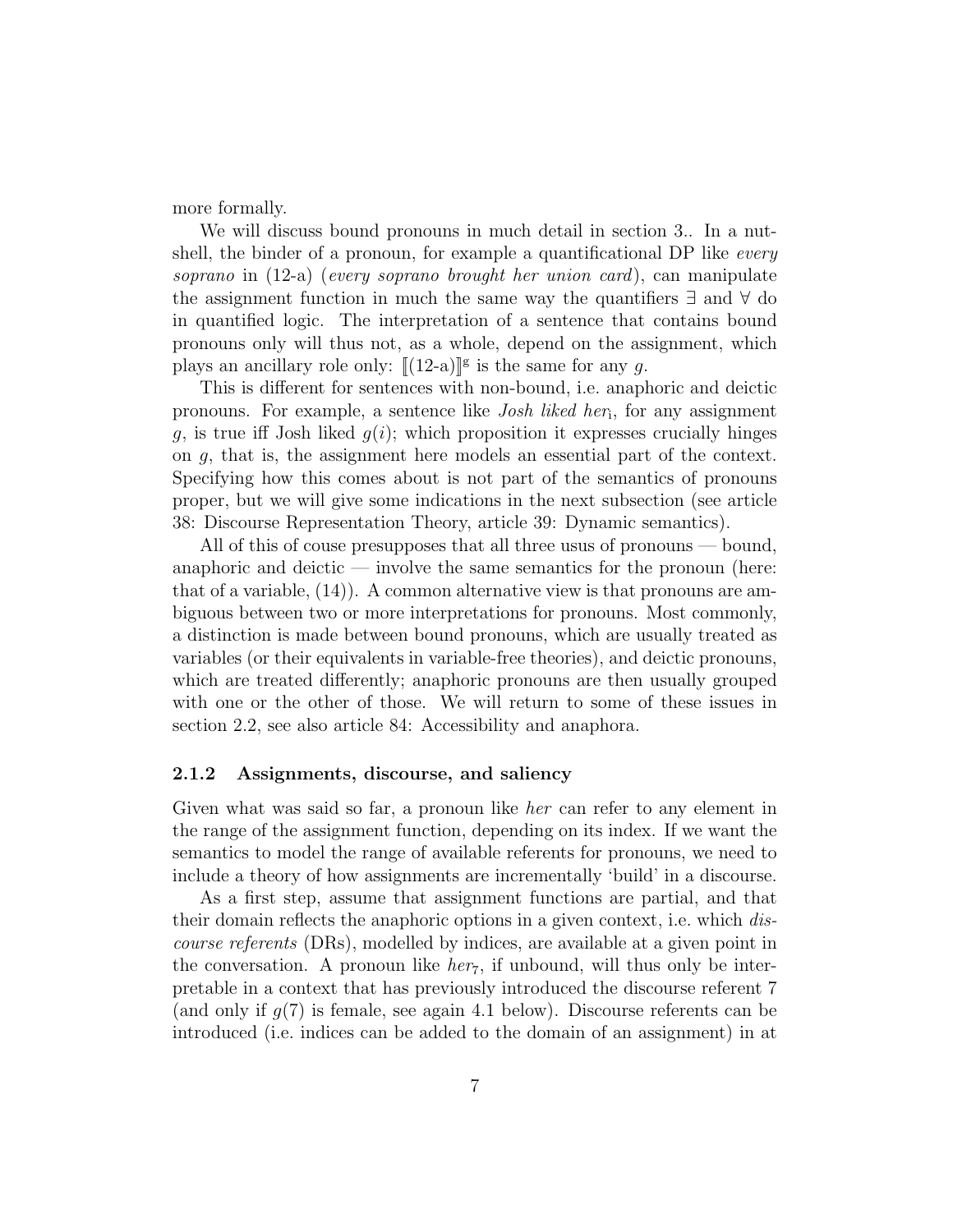more formally.

We will discuss bound pronouns in much detail in section 3.. In a nutshell, the binder of a pronoun, for example a quantificational DP like *every* soprano in  $(12-a)$  (every soprano brought her union card), can manipulate the assignment function in much the same way the quantifiers ∃ and ∀ do in quantified logic. The interpretation of a sentence that contains bound pronouns only will thus not, as a whole, depend on the assignment, which plays an ancillary role only:  $[(12-a)]^g$  is the same for any g.

This is different for sentences with non-bound, i.e. anaphoric and deictic pronouns. For example, a sentence like *Josh liked her*<sub>i</sub>, for any assignment q, is true iff Josh liked  $q(i)$ ; which proposition it expresses crucially hinges on  $q$ , that is, the assignment here models an essential part of the context. Specifying how this comes about is not part of the semantics of pronouns proper, but we will give some indications in the next subsection (see article 38: Discourse Representation Theory, article 39: Dynamic semantics).

All of this of couse presupposes that all three usus of pronouns — bound, anaphoric and deictic — involve the same semantics for the pronoun (here: that of a variable,  $(14)$ . A common alternative view is that pronouns are ambiguous between two or more interpretations for pronouns. Most commonly, a distinction is made between bound pronouns, which are usually treated as variables (or their equivalents in variable-free theories), and deictic pronouns, which are treated differently; anaphoric pronouns are then usually grouped with one or the other of those. We will return to some of these issues in section 2.2, see also article 84: Accessibility and anaphora.

#### 2.1.2 Assignments, discourse, and saliency

Given what was said so far, a pronoun like her can refer to any element in the range of the assignment function, depending on its index. If we want the semantics to model the range of available referents for pronouns, we need to include a theory of how assignments are incrementally 'build' in a discourse.

As a first step, assume that assignment functions are partial, and that their domain reflects the anaphoric options in a given context, i.e. which discourse referents (DRs), modelled by indices, are available at a given point in the conversation. A pronoun like  $her<sub>7</sub>$ , if unbound, will thus only be interpretable in a context that has previously introduced the discourse referent 7 (and only if  $g(7)$  is female, see again 4.1 below). Discourse referents can be introduced (i.e. indices can be added to the domain of an assignment) in at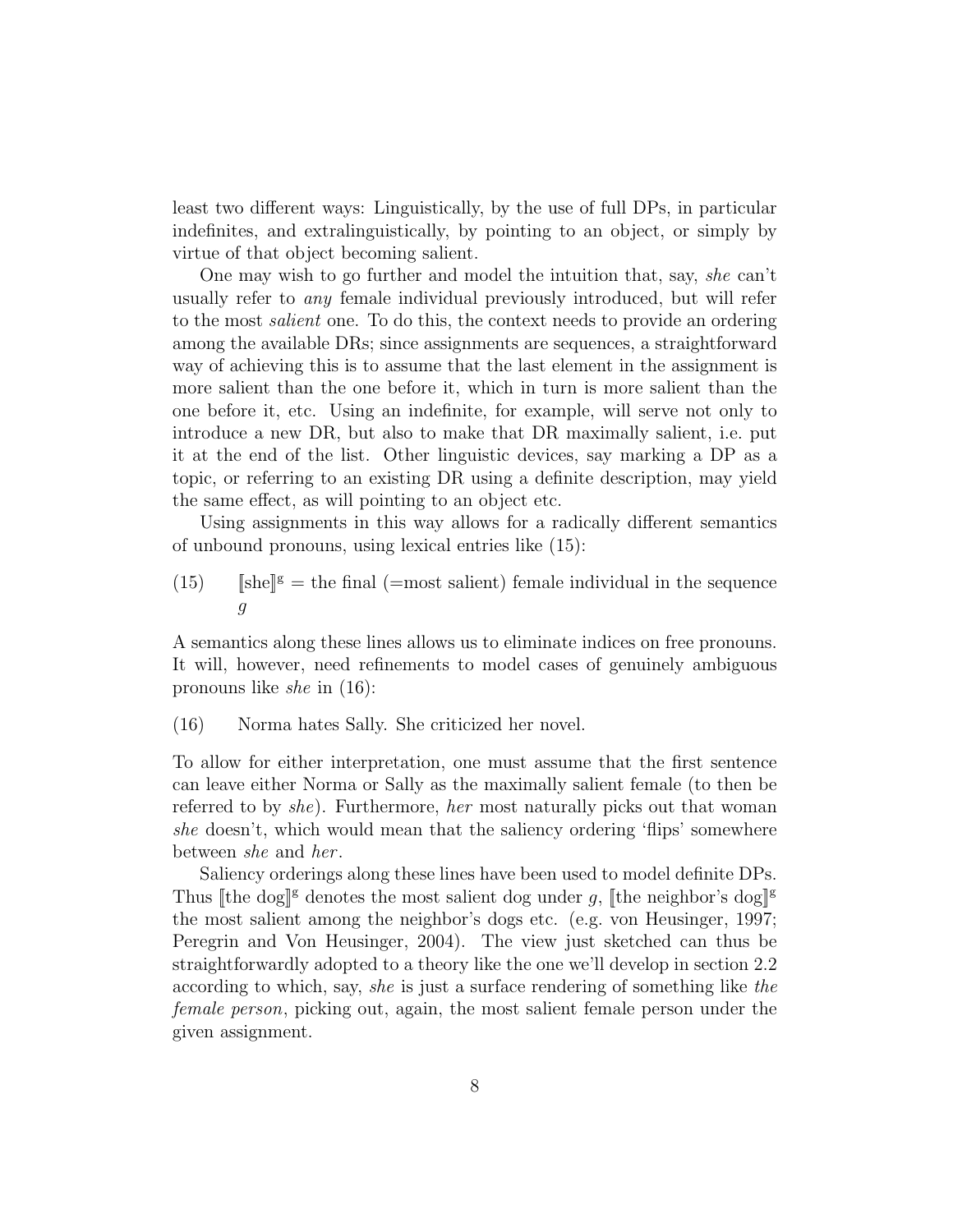least two different ways: Linguistically, by the use of full DPs, in particular indefinites, and extralinguistically, by pointing to an object, or simply by virtue of that object becoming salient.

One may wish to go further and model the intuition that, say, she can't usually refer to any female individual previously introduced, but will refer to the most salient one. To do this, the context needs to provide an ordering among the available DRs; since assignments are sequences, a straightforward way of achieving this is to assume that the last element in the assignment is more salient than the one before it, which in turn is more salient than the one before it, etc. Using an indefinite, for example, will serve not only to introduce a new DR, but also to make that DR maximally salient, i.e. put it at the end of the list. Other linguistic devices, say marking a DP as a topic, or referring to an existing DR using a definite description, may yield the same effect, as will pointing to an object etc.

Using assignments in this way allows for a radically different semantics of unbound pronouns, using lexical entries like (15):

(15) [[she]<sup>g</sup> = the final (=most salient) female individual in the sequence g

A semantics along these lines allows us to eliminate indices on free pronouns. It will, however, need refinements to model cases of genuinely ambiguous pronouns like she in (16):

(16) Norma hates Sally. She criticized her novel.

To allow for either interpretation, one must assume that the first sentence can leave either Norma or Sally as the maximally salient female (to then be referred to by she). Furthermore, her most naturally picks out that woman she doesn't, which would mean that the saliency ordering 'flips' somewhere between *she* and *her*.

Saliency orderings along these lines have been used to model definite DPs. Thus [the dog]<sup>g</sup> denotes the most salient dog under g, [the neighbor's dog]<sup>g</sup> the most salient among the neighbor's dogs etc. (e.g. von Heusinger, 1997; Peregrin and Von Heusinger, 2004). The view just sketched can thus be straightforwardly adopted to a theory like the one we'll develop in section 2.2 according to which, say, she is just a surface rendering of something like the female person, picking out, again, the most salient female person under the given assignment.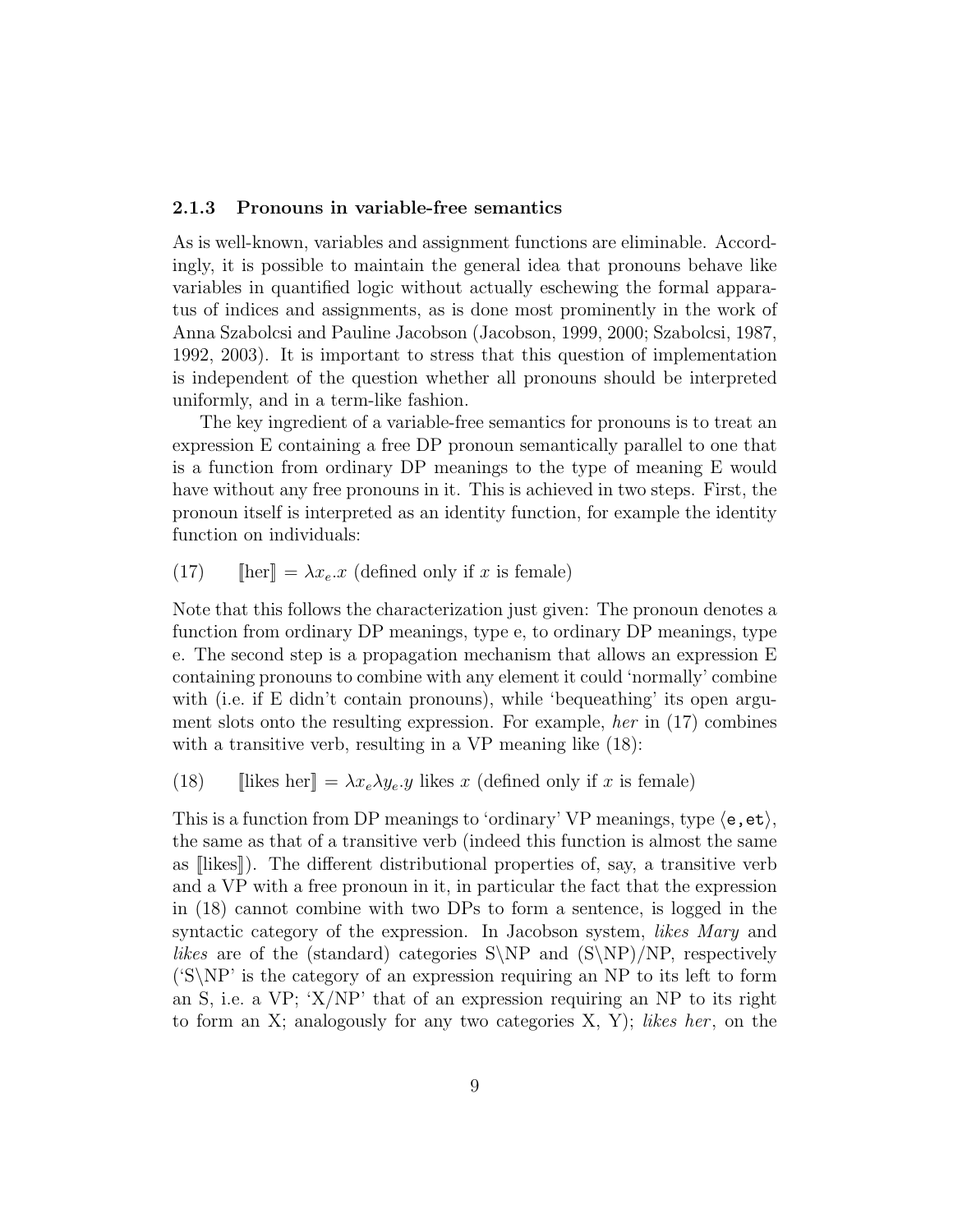#### 2.1.3 Pronouns in variable-free semantics

As is well-known, variables and assignment functions are eliminable. Accordingly, it is possible to maintain the general idea that pronouns behave like variables in quantified logic without actually eschewing the formal apparatus of indices and assignments, as is done most prominently in the work of Anna Szabolcsi and Pauline Jacobson (Jacobson, 1999, 2000; Szabolcsi, 1987, 1992, 2003). It is important to stress that this question of implementation is independent of the question whether all pronouns should be interpreted uniformly, and in a term-like fashion.

The key ingredient of a variable-free semantics for pronouns is to treat an expression E containing a free DP pronoun semantically parallel to one that is a function from ordinary DP meanings to the type of meaning E would have without any free pronouns in it. This is achieved in two steps. First, the pronoun itself is interpreted as an identity function, for example the identity function on individuals:

(17)  $[\text{her}] = \lambda x_e \cdot x$  (defined only if x is female)

Note that this follows the characterization just given: The pronoun denotes a function from ordinary DP meanings, type e, to ordinary DP meanings, type e. The second step is a propagation mechanism that allows an expression E containing pronouns to combine with any element it could 'normally' combine with (i.e. if E didn't contain pronouns), while 'bequeathing' its open argument slots onto the resulting expression. For example, her in (17) combines with a transitive verb, resulting in a VP meaning like  $(18)$ :

(18) [likes her $\| = \lambda x_e \lambda y_e y$  likes x (defined only if x is female)

This is a function from DP meanings to 'ordinary' VP meanings, type  $\langle e, e \, \mathsf{t} \rangle$ , the same as that of a transitive verb (indeed this function is almost the same as [[likes]]). The different distributional properties of, say, a transitive verb and a VP with a free pronoun in it, in particular the fact that the expression in (18) cannot combine with two DPs to form a sentence, is logged in the syntactic category of the expression. In Jacobson system, likes Mary and likes are of the (standard) categories  $S\NP$  and  $(S\NP)/NP$ , respectively ('S\NP' is the category of an expression requiring an NP to its left to form an S, i.e. a  $VP$ ; ' $X/NP'$ ' that of an expression requiring an NP to its right to form an X; analogously for any two categories X, Y); likes her, on the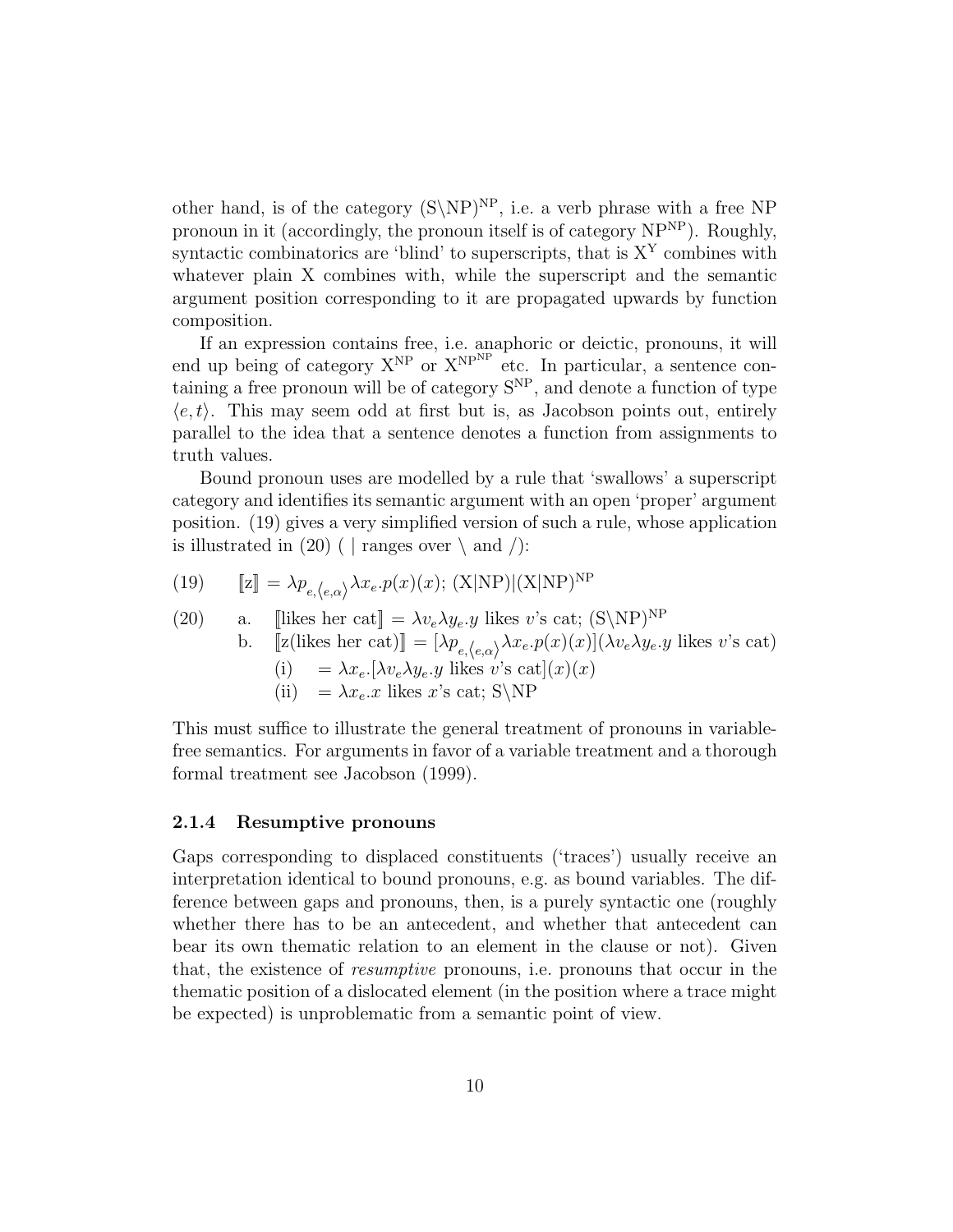other hand, is of the category  $(S\NP)^{NP}$ , i.e. a verb phrase with a free NP pronoun in it (accordingly, the pronoun itself is of category NPNP). Roughly, syntactic combinatorics are 'blind' to superscripts, that is X<sup>Y</sup> combines with whatever plain X combines with, while the superscript and the semantic argument position corresponding to it are propagated upwards by function composition.

If an expression contains free, i.e. anaphoric or deictic, pronouns, it will end up being of category  $X^{NP}$  or  $X^{NPNP}$  etc. In particular, a sentence containing a free pronoun will be of category  $S^{NP}$ , and denote a function of type  $\langle e, t \rangle$ . This may seem odd at first but is, as Jacobson points out, entirely parallel to the idea that a sentence denotes a function from assignments to truth values.

Bound pronoun uses are modelled by a rule that 'swallows' a superscript category and identifies its semantic argument with an open 'proper' argument position. (19) gives a very simplified version of such a rule, whose application is illustrated in (20) (  $\vert$  ranges over  $\setminus$  and  $\vert$ ):

(19) 
$$
\llbracket z \rrbracket = \lambda p_{e,\langle e,\alpha \rangle} \lambda x_e \cdot p(x)(x); \text{ (X|NP)} \times \text{NPP}^{\text{NP}}
$$

(20) a. [likes her cat] = 
$$
\lambda v_e \lambda y_e y
$$
 likes *v*'s cat; (S\NP)<sup>NP</sup>  
b. [z(likes her cat)] =  $[\lambda p_{e,\langle e,\alpha \rangle} \lambda x_e \cdot p(x)(x)](\lambda v_e \lambda y_e \cdot y$  likes *v*'s cat)  
(i) =  $\lambda x_e \cdot [\lambda v_e \lambda y_e \cdot y$  likes *v*'s cat] $(x)(x)$   
(ii) =  $\lambda x_e \cdot x$  likes *x*'s cat; S\NP

This must suffice to illustrate the general treatment of pronouns in variablefree semantics. For arguments in favor of a variable treatment and a thorough formal treatment see Jacobson (1999).

#### 2.1.4 Resumptive pronouns

Gaps corresponding to displaced constituents ('traces') usually receive an interpretation identical to bound pronouns, e.g. as bound variables. The difference between gaps and pronouns, then, is a purely syntactic one (roughly whether there has to be an antecedent, and whether that antecedent can bear its own thematic relation to an element in the clause or not). Given that, the existence of resumptive pronouns, i.e. pronouns that occur in the thematic position of a dislocated element (in the position where a trace might be expected) is unproblematic from a semantic point of view.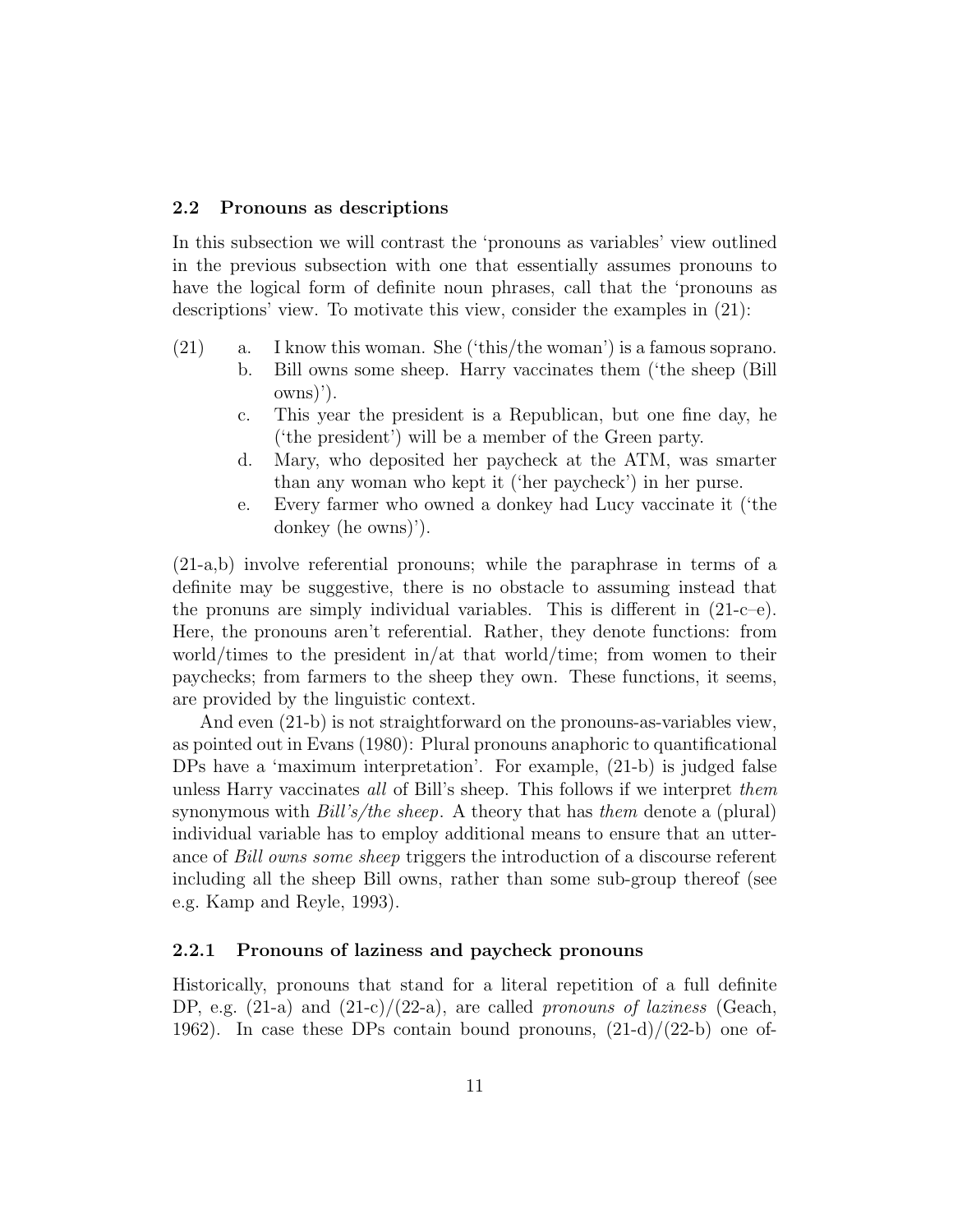#### 2.2 Pronouns as descriptions

In this subsection we will contrast the 'pronouns as variables' view outlined in the previous subsection with one that essentially assumes pronouns to have the logical form of definite noun phrases, call that the 'pronouns as descriptions' view. To motivate this view, consider the examples in (21):

- (21) a. I know this woman. She ('this/the woman') is a famous soprano. b. Bill owns some sheep. Harry vaccinates them ('the sheep (Bill owns)').
	- c. This year the president is a Republican, but one fine day, he ('the president') will be a member of the Green party.
	- d. Mary, who deposited her paycheck at the ATM, was smarter than any woman who kept it ('her paycheck') in her purse.
	- e. Every farmer who owned a donkey had Lucy vaccinate it ('the donkey (he owns)').

(21-a,b) involve referential pronouns; while the paraphrase in terms of a definite may be suggestive, there is no obstacle to assuming instead that the pronuns are simply individual variables. This is different in  $(21-c-e)$ . Here, the pronouns aren't referential. Rather, they denote functions: from world/times to the president in/at that world/time; from women to their paychecks; from farmers to the sheep they own. These functions, it seems, are provided by the linguistic context.

And even (21-b) is not straightforward on the pronouns-as-variables view, as pointed out in Evans (1980): Plural pronouns anaphoric to quantificational DPs have a 'maximum interpretation'. For example, (21-b) is judged false unless Harry vaccinates all of Bill's sheep. This follows if we interpret them synonymous with *Bill's/the sheep*. A theory that has *them* denote a (plural) individual variable has to employ additional means to ensure that an utterance of Bill owns some sheep triggers the introduction of a discourse referent including all the sheep Bill owns, rather than some sub-group thereof (see e.g. Kamp and Reyle, 1993).

#### 2.2.1 Pronouns of laziness and paycheck pronouns

Historically, pronouns that stand for a literal repetition of a full definite DP, e.g.  $(21-a)$  and  $(21-c)/(22-a)$ , are called *pronouns of laziness* (Geach, 1962). In case these DPs contain bound pronouns,  $(21-d)/(22-b)$  one of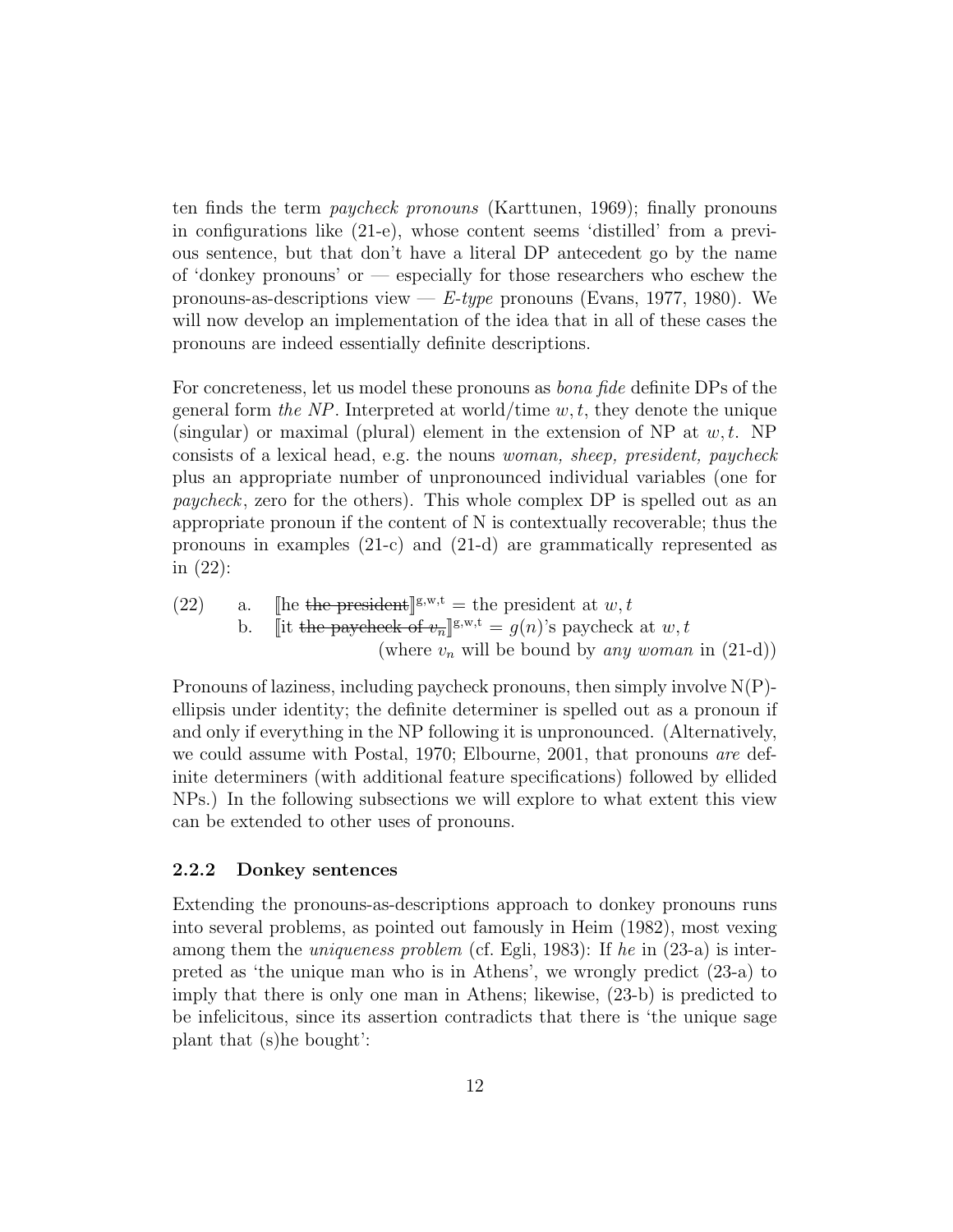ten finds the term paycheck pronouns (Karttunen, 1969); finally pronouns in configurations like (21-e), whose content seems 'distilled' from a previous sentence, but that don't have a literal DP antecedent go by the name of 'donkey pronouns' or — especially for those researchers who eschew the pronouns-as-descriptions view —  $E$ -type pronouns (Evans, 1977, 1980). We will now develop an implementation of the idea that in all of these cases the pronouns are indeed essentially definite descriptions.

For concreteness, let us model these pronouns as bona fide definite DPs of the general form the NP. Interpreted at world/time  $w, t$ , they denote the unique (singular) or maximal (plural) element in the extension of NP at  $w, t$ . NP consists of a lexical head, e.g. the nouns woman, sheep, president, paycheck plus an appropriate number of unpronounced individual variables (one for paycheck, zero for the others). This whole complex DP is spelled out as an appropriate pronoun if the content of N is contextually recoverable; thus the pronouns in examples (21-c) and (21-d) are grammatically represented as in (22):

- (22) a. [he the president]<sup>g,w,t</sup> = the president at w, t
	- b. [it the paycheck of  $v_n$ ]<sup>g,w,t</sup> =  $q(n)$ 's paycheck at w, t (where  $v_n$  will be bound by any woman in (21-d))

Pronouns of laziness, including paycheck pronouns, then simply involve N(P) ellipsis under identity; the definite determiner is spelled out as a pronoun if and only if everything in the NP following it is unpronounced. (Alternatively, we could assume with Postal, 1970; Elbourne, 2001, that pronouns are definite determiners (with additional feature specifications) followed by ellided NPs.) In the following subsections we will explore to what extent this view can be extended to other uses of pronouns.

#### 2.2.2 Donkey sentences

Extending the pronouns-as-descriptions approach to donkey pronouns runs into several problems, as pointed out famously in Heim (1982), most vexing among them the *uniqueness problem* (cf. Egli, 1983): If he in  $(23-a)$  is interpreted as 'the unique man who is in Athens', we wrongly predict (23-a) to imply that there is only one man in Athens; likewise, (23-b) is predicted to be infelicitous, since its assertion contradicts that there is 'the unique sage plant that (s)he bought':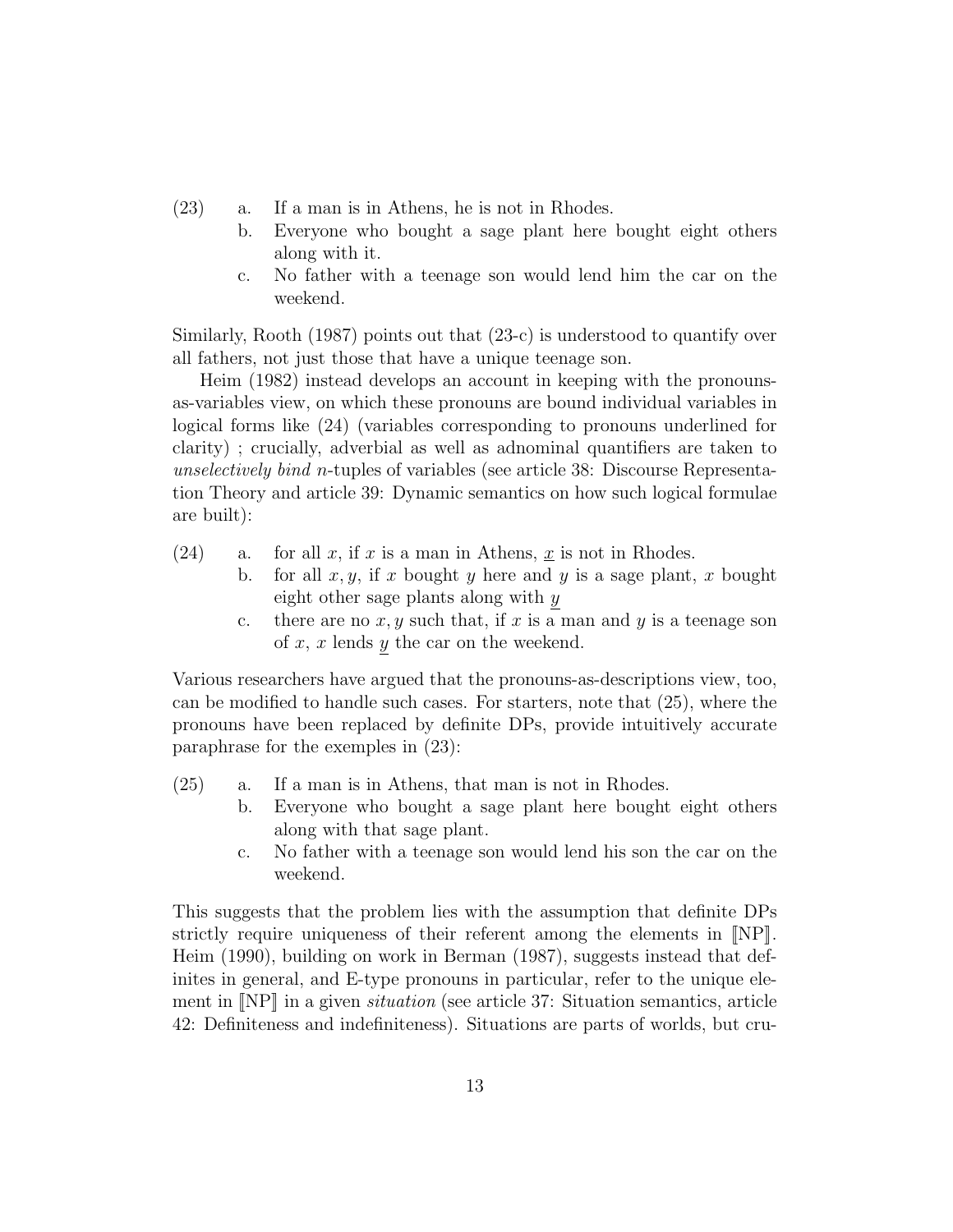- (23) a. If a man is in Athens, he is not in Rhodes.
	- b. Everyone who bought a sage plant here bought eight others along with it.
	- c. No father with a teenage son would lend him the car on the weekend.

Similarly, Rooth (1987) points out that (23-c) is understood to quantify over all fathers, not just those that have a unique teenage son.

Heim (1982) instead develops an account in keeping with the pronounsas-variables view, on which these pronouns are bound individual variables in logical forms like (24) (variables corresponding to pronouns underlined for clarity) ; crucially, adverbial as well as adnominal quantifiers are taken to unselectively bind n-tuples of variables (see article 38: Discourse Representation Theory and article 39: Dynamic semantics on how such logical formulae are built):

- (24) a. for all x, if x is a man in Athens,  $x$  is not in Rhodes.
	- b. for all  $x, y$ , if x bought y here and y is a sage plant, x bought eight other sage plants along with y
	- c. there are no  $x, y$  such that, if  $x$  is a man and  $y$  is a teenage son of  $x, x$  lends  $y$  the car on the weekend.

Various researchers have argued that the pronouns-as-descriptions view, too, can be modified to handle such cases. For starters, note that (25), where the pronouns have been replaced by definite DPs, provide intuitively accurate paraphrase for the exemples in (23):

- (25) a. If a man is in Athens, that man is not in Rhodes.
	- b. Everyone who bought a sage plant here bought eight others along with that sage plant.
	- c. No father with a teenage son would lend his son the car on the weekend.

This suggests that the problem lies with the assumption that definite DPs strictly require uniqueness of their referent among the elements in [NP]. Heim (1990), building on work in Berman (1987), suggests instead that definites in general, and E-type pronouns in particular, refer to the unique element in  $\|NP\|$  in a given *situation* (see article 37: Situation semantics, article 42: Definiteness and indefiniteness). Situations are parts of worlds, but cru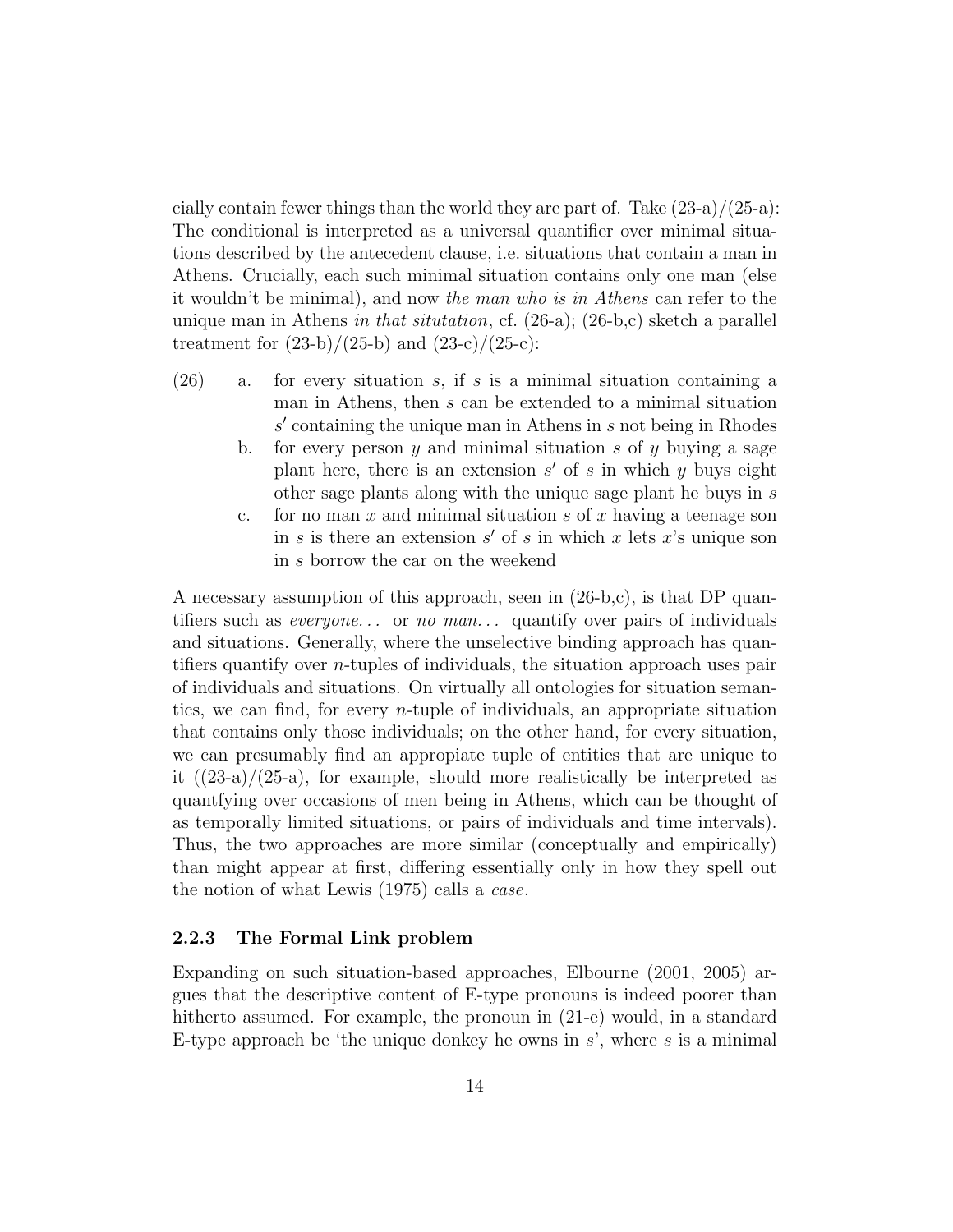cially contain fewer things than the world they are part of. Take  $(23-a)/(25-a)$ : The conditional is interpreted as a universal quantifier over minimal situations described by the antecedent clause, i.e. situations that contain a man in Athens. Crucially, each such minimal situation contains only one man (else it wouldn't be minimal), and now the man who is in Athens can refer to the unique man in Athens in that situtation, cf.  $(26-a)$ ;  $(26-b,c)$  sketch a parallel treatment for  $(23-b)/(25-b)$  and  $(23-c)/(25-c)$ :

- $(26)$  a. for every situation s, if s is a minimal situation containing a man in Athens, then s can be extended to a minimal situation  $s'$  containing the unique man in Athens in  $s$  not being in Rhodes
	- b. for every person  $y$  and minimal situation  $s$  of  $y$  buying a sage plant here, there is an extension  $s'$  of s in which y buys eight other sage plants along with the unique sage plant he buys in s
	- c. for no man x and minimal situation s of x having a teenage son in s is there an extension  $s'$  of s in which x lets x's unique son in s borrow the car on the weekend

A necessary assumption of this approach, seen in (26-b,c), is that DP quantifiers such as *everyone...* or *no man...* quantify over pairs of individuals and situations. Generally, where the unselective binding approach has quantifiers quantify over  $n$ -tuples of individuals, the situation approach uses pair of individuals and situations. On virtually all ontologies for situation semantics, we can find, for every *n*-tuple of individuals, an appropriate situation that contains only those individuals; on the other hand, for every situation, we can presumably find an appropiate tuple of entities that are unique to it  $((23-a)/(25-a)$ , for example, should more realistically be interpreted as quantfying over occasions of men being in Athens, which can be thought of as temporally limited situations, or pairs of individuals and time intervals). Thus, the two approaches are more similar (conceptually and empirically) than might appear at first, differing essentially only in how they spell out the notion of what Lewis (1975) calls a case.

#### 2.2.3 The Formal Link problem

Expanding on such situation-based approaches, Elbourne (2001, 2005) argues that the descriptive content of E-type pronouns is indeed poorer than hitherto assumed. For example, the pronoun in (21-e) would, in a standard E-type approach be 'the unique donkey he owns in  $s$ ', where  $s$  is a minimal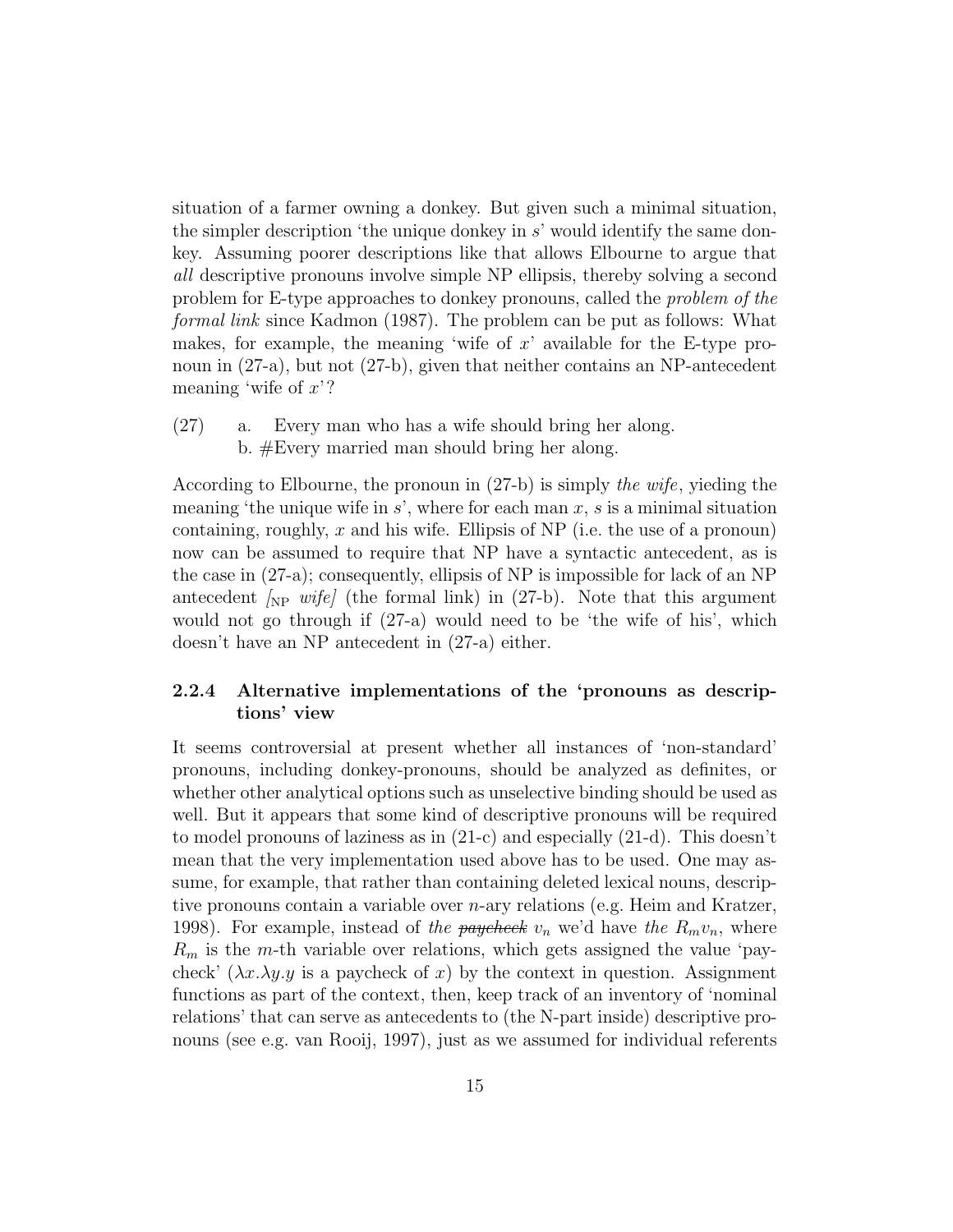situation of a farmer owning a donkey. But given such a minimal situation, the simpler description 'the unique donkey in s' would identify the same donkey. Assuming poorer descriptions like that allows Elbourne to argue that all descriptive pronouns involve simple NP ellipsis, thereby solving a second problem for E-type approaches to donkey pronouns, called the problem of the formal link since Kadmon (1987). The problem can be put as follows: What makes, for example, the meaning 'wife of  $x$ ' available for the E-type pronoun in (27-a), but not (27-b), given that neither contains an NP-antecedent meaning 'wife of  $x$ '?

(27) a. Every man who has a wife should bring her along. b. #Every married man should bring her along.

According to Elbourne, the pronoun in (27-b) is simply the wife, yieding the meaning 'the unique wife in  $s'$ , where for each man  $x$ ,  $s$  is a minimal situation containing, roughly,  $x$  and his wife. Ellipsis of NP (i.e. the use of a pronoun) now can be assumed to require that NP have a syntactic antecedent, as is the case in (27-a); consequently, ellipsis of NP is impossible for lack of an NP antecedent  $\langle \nabla \rangle$  wife] (the formal link) in (27-b). Note that this argument would not go through if (27-a) would need to be 'the wife of his', which doesn't have an NP antecedent in (27-a) either.

### 2.2.4 Alternative implementations of the 'pronouns as descriptions' view

It seems controversial at present whether all instances of 'non-standard' pronouns, including donkey-pronouns, should be analyzed as definites, or whether other analytical options such as unselective binding should be used as well. But it appears that some kind of descriptive pronouns will be required to model pronouns of laziness as in (21-c) and especially (21-d). This doesn't mean that the very implementation used above has to be used. One may assume, for example, that rather than containing deleted lexical nouns, descriptive pronouns contain a variable over n-ary relations (e.g. Heim and Kratzer, 1998). For example, instead of the paycheck  $v_n$  we'd have the  $R_m v_n$ , where  $R_m$  is the m-th variable over relations, which gets assigned the value 'paycheck'  $(\lambda x.\lambda y.y$  is a paycheck of x) by the context in question. Assignment functions as part of the context, then, keep track of an inventory of 'nominal relations' that can serve as antecedents to (the N-part inside) descriptive pronouns (see e.g. van Rooij, 1997), just as we assumed for individual referents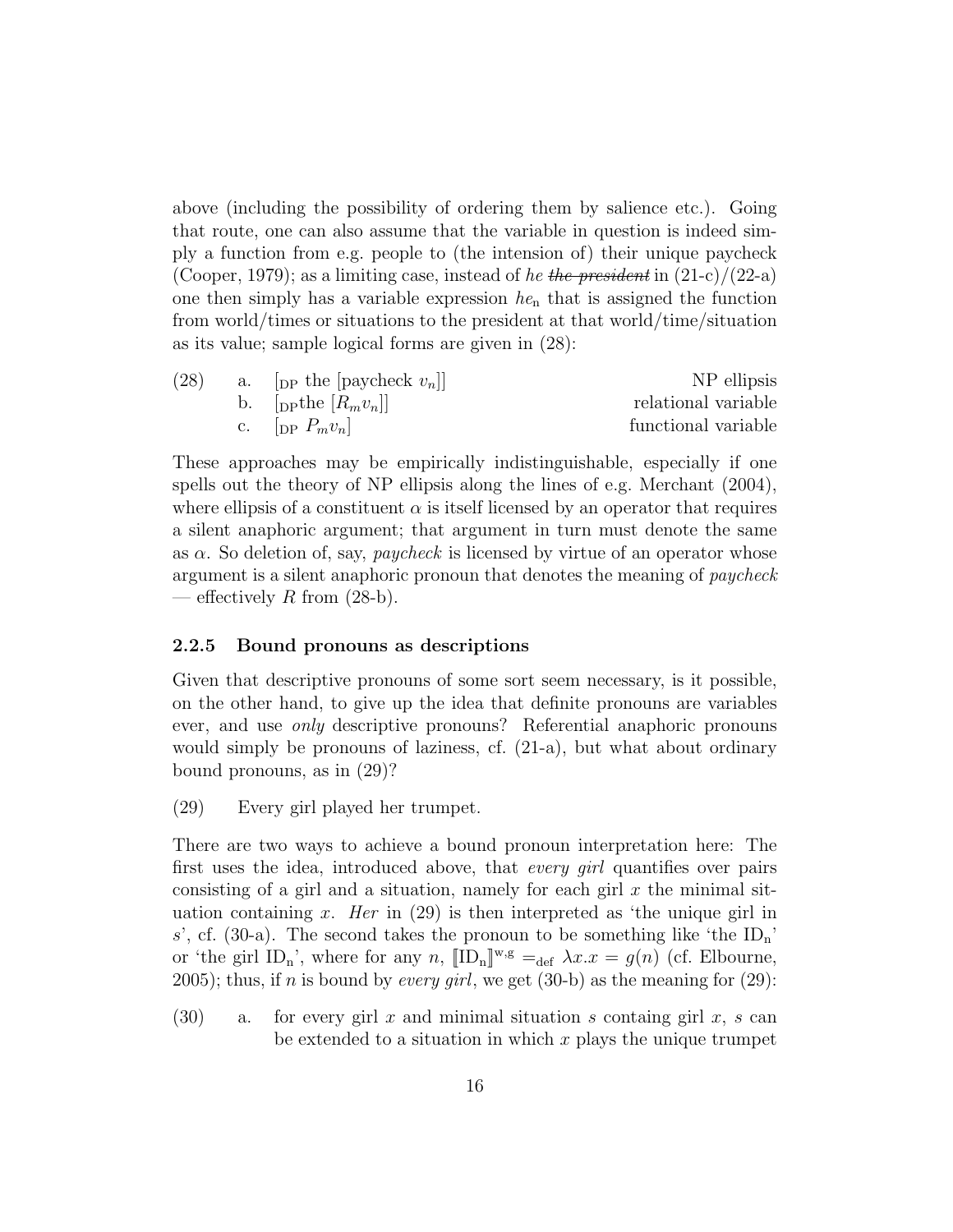above (including the possibility of ordering them by salience etc.). Going that route, one can also assume that the variable in question is indeed simply a function from e.g. people to (the intension of) their unique paycheck (Cooper, 1979); as a limiting case, instead of he the president in  $(21-c)/(22-a)$ one then simply has a variable expression  $he_n$  that is assigned the function from world/times or situations to the president at that world/time/situation as its value; sample logical forms are given in (28):

| (28) | a. [DP the [paycheck $v_n$ ]]        | NP ellipsis         |
|------|--------------------------------------|---------------------|
|      | b. $ {\rm p}_P{\rm the}   R_m v_n  $ | relational variable |
|      | c. $ _{\text{DP}} P_m v_n $          | functional variable |

These approaches may be empirically indistinguishable, especially if one spells out the theory of NP ellipsis along the lines of e.g. Merchant (2004), where ellipsis of a constituent  $\alpha$  is itself licensed by an operator that requires a silent anaphoric argument; that argument in turn must denote the same as  $\alpha$ . So deletion of, say, *paycheck* is licensed by virtue of an operator whose argument is a silent anaphoric pronoun that denotes the meaning of paycheck — effectively R from  $(28-b)$ .

#### 2.2.5 Bound pronouns as descriptions

Given that descriptive pronouns of some sort seem necessary, is it possible, on the other hand, to give up the idea that definite pronouns are variables ever, and use only descriptive pronouns? Referential anaphoric pronouns would simply be pronouns of laziness, cf. (21-a), but what about ordinary bound pronouns, as in (29)?

(29) Every girl played her trumpet.

There are two ways to achieve a bound pronoun interpretation here: The first uses the idea, introduced above, that *every girl* quantifies over pairs consisting of a girl and a situation, namely for each girl  $x$  the minimal situation containing  $x$ . Her in (29) is then interpreted as 'the unique girl in s', cf. (30-a). The second takes the pronoun to be something like 'the  $ID_n$ ' or 'the girl ID<sub>n</sub>', where for any n,  $[[D_n]]^{w,g} =_{def} \lambda x.x = g(n)$  (cf. Elbourne, 2005); thus, if n is bound by *every girl*, we get  $(30-b)$  as the meaning for  $(29)$ :

(30) a. for every girl x and minimal situation s containg girl x, s can be extended to a situation in which  $x$  plays the unique trumpet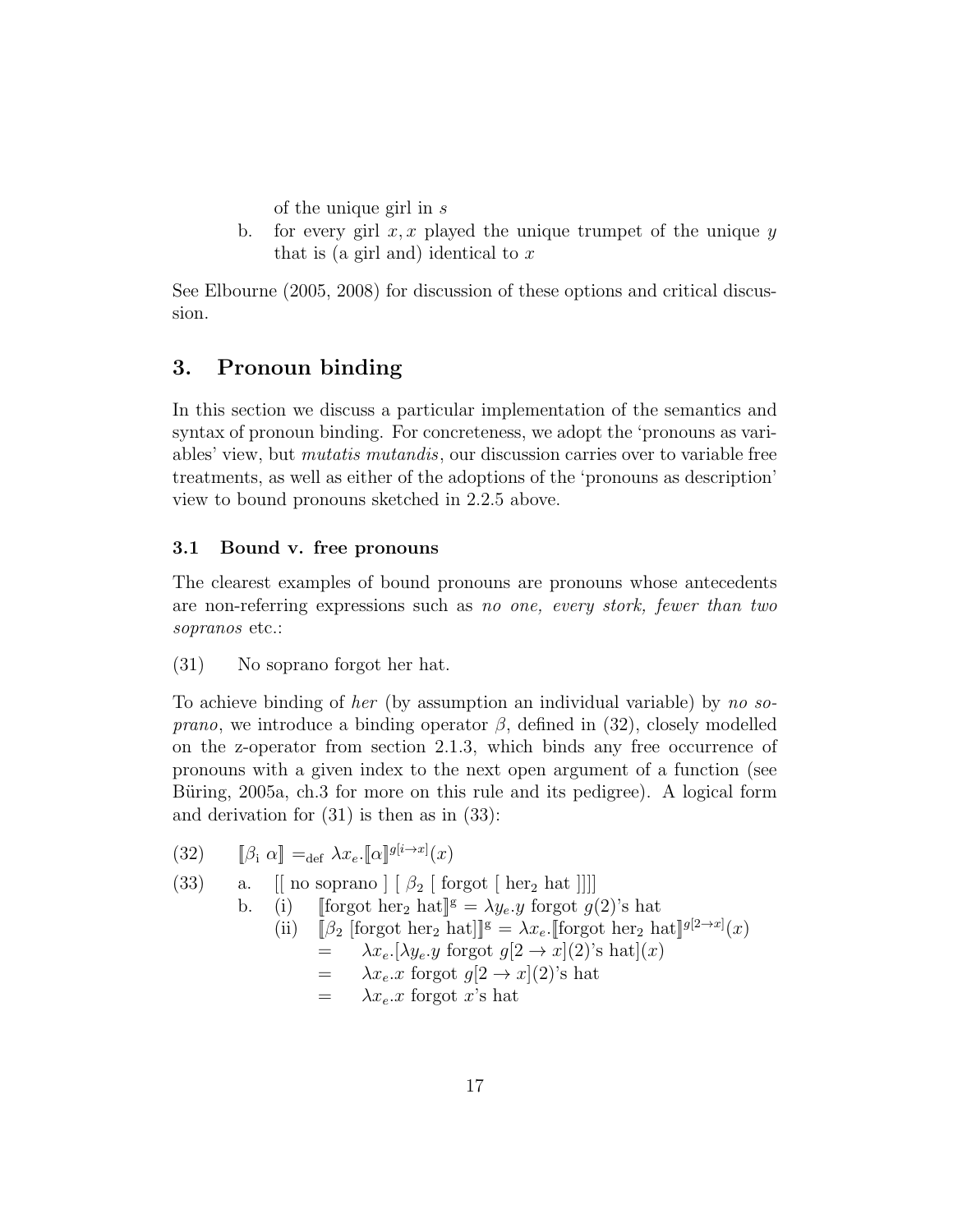of the unique girl in s

b. for every girl  $x, x$  played the unique trumpet of the unique  $y$ that is (a girl and) identical to  $x$ 

See Elbourne (2005, 2008) for discussion of these options and critical discussion.

# 3. Pronoun binding

In this section we discuss a particular implementation of the semantics and syntax of pronoun binding. For concreteness, we adopt the 'pronouns as variables' view, but mutatis mutandis, our discussion carries over to variable free treatments, as well as either of the adoptions of the 'pronouns as description' view to bound pronouns sketched in 2.2.5 above.

#### 3.1 Bound v. free pronouns

The clearest examples of bound pronouns are pronouns whose antecedents are non-referring expressions such as no one, every stork, fewer than two sopranos etc.:

(31) No soprano forgot her hat.

To achieve binding of her (by assumption an individual variable) by no so*prano*, we introduce a binding operator  $\beta$ , defined in (32), closely modelled on the z-operator from section 2.1.3, which binds any free occurrence of pronouns with a given index to the next open argument of a function (see Büring, 2005a, ch.3 for more on this rule and its pedigree). A logical form and derivation for (31) is then as in (33):

(32)  $\left[\beta_i \alpha\right] =_{\text{def}} \lambda x_e \left[\alpha\right]^{g[i \to x]}(x)$ 

(33) a. [[ no soprano] 
$$
\lbrack \beta_2 \rbrack
$$
 forgot  $\lbrack$  her<sub>2</sub> hat ]]]]

b. (i) [forgot her<sub>2</sub> hat]<sup>g</sup> = 
$$
\lambda y_e y
$$
 forgot  $g(2)$ 's hat

(ii) 
$$
\[\mathcal{B}_2 \text{ [forget her}_2 \text{ hat}]\]^\mathsf{g} = \lambda x_e.\text{[forget her}_2 \text{ hat}]^{g[2 \to x]}(x)
$$

$$
= \lambda x_e. [\lambda y_e. y \text{ forgot } g[2 \to x](2) \text{'s hat}](x)
$$

- $= \lambda x_e \cdot x$  forgot  $q[2 \rightarrow x](2)$ 's hat
- $=$   $\lambda x_e \cdot x$  forgot x's hat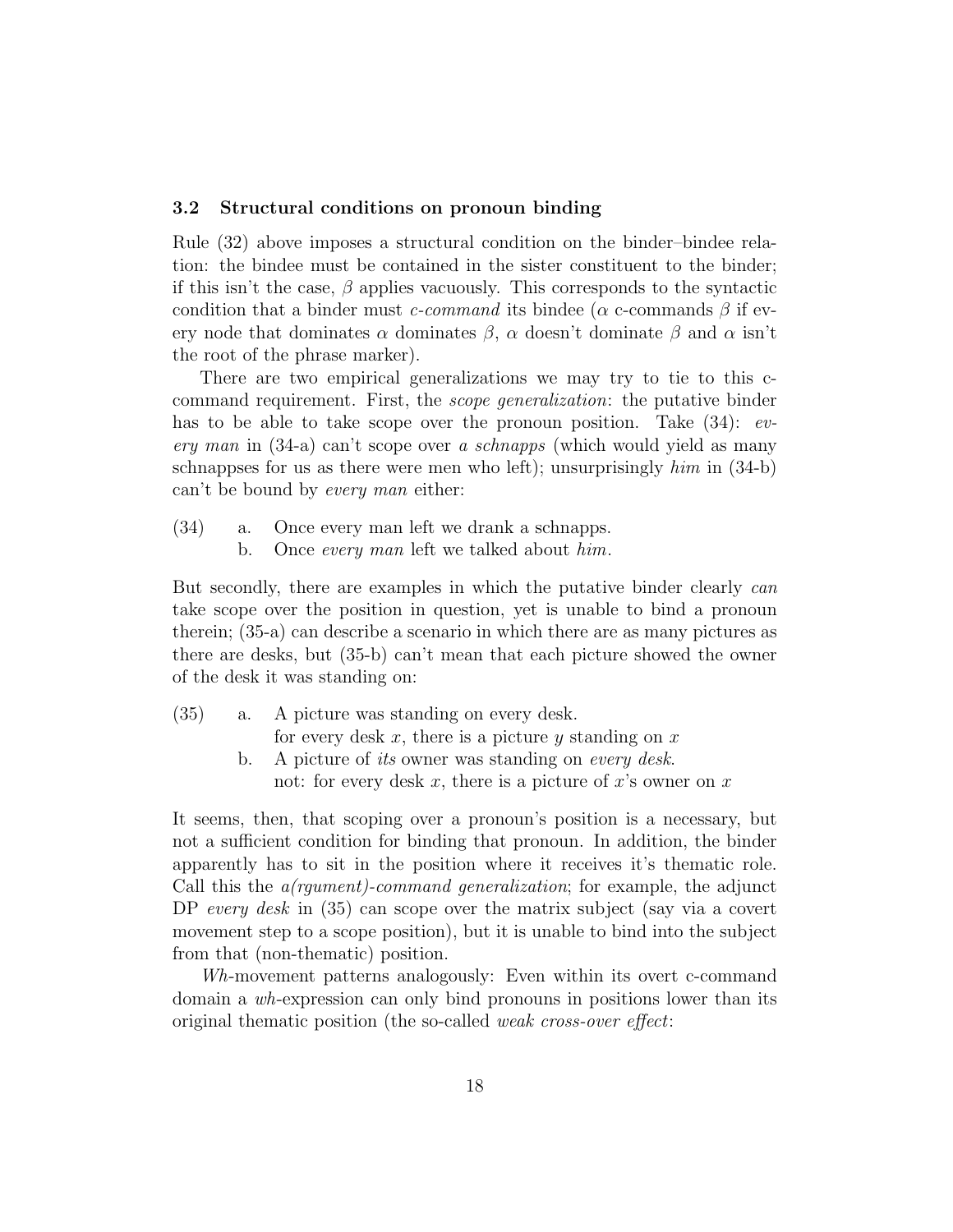#### 3.2 Structural conditions on pronoun binding

Rule (32) above imposes a structural condition on the binder–bindee relation: the bindee must be contained in the sister constituent to the binder; if this isn't the case,  $\beta$  applies vacuously. This corresponds to the syntactic condition that a binder must c-command its bindee ( $\alpha$  c-commands  $\beta$  if every node that dominates  $\alpha$  dominates  $\beta$ ,  $\alpha$  doesn't dominate  $\beta$  and  $\alpha$  isn't the root of the phrase marker).

There are two empirical generalizations we may try to tie to this ccommand requirement. First, the scope generalization: the putative binder has to be able to take scope over the pronoun position. Take  $(34)$ : every man in  $(34-a)$  can't scope over a schnapps (which would yield as many schnappses for us as there were men who left); unsurprisingly  $him$  in  $(34-b)$ can't be bound by every man either:

(34) a. Once every man left we drank a schnapps. b. Once every man left we talked about him.

But secondly, there are examples in which the putative binder clearly can take scope over the position in question, yet is unable to bind a pronoun therein; (35-a) can describe a scenario in which there are as many pictures as there are desks, but (35-b) can't mean that each picture showed the owner of the desk it was standing on:

- (35) a. A picture was standing on every desk. for every desk x, there is a picture y standing on  $x$ 
	- b. A picture of *its* owner was standing on *every desk*. not: for every desk x, there is a picture of x's owner on  $x$

It seems, then, that scoping over a pronoun's position is a necessary, but not a sufficient condition for binding that pronoun. In addition, the binder apparently has to sit in the position where it receives it's thematic role. Call this the a(rgument)-command generalization; for example, the adjunct DP every desk in  $(35)$  can scope over the matrix subject (say via a covert movement step to a scope position), but it is unable to bind into the subject from that (non-thematic) position.

Wh-movement patterns analogously: Even within its overt c-command domain a wh-expression can only bind pronouns in positions lower than its original thematic position (the so-called weak cross-over effect: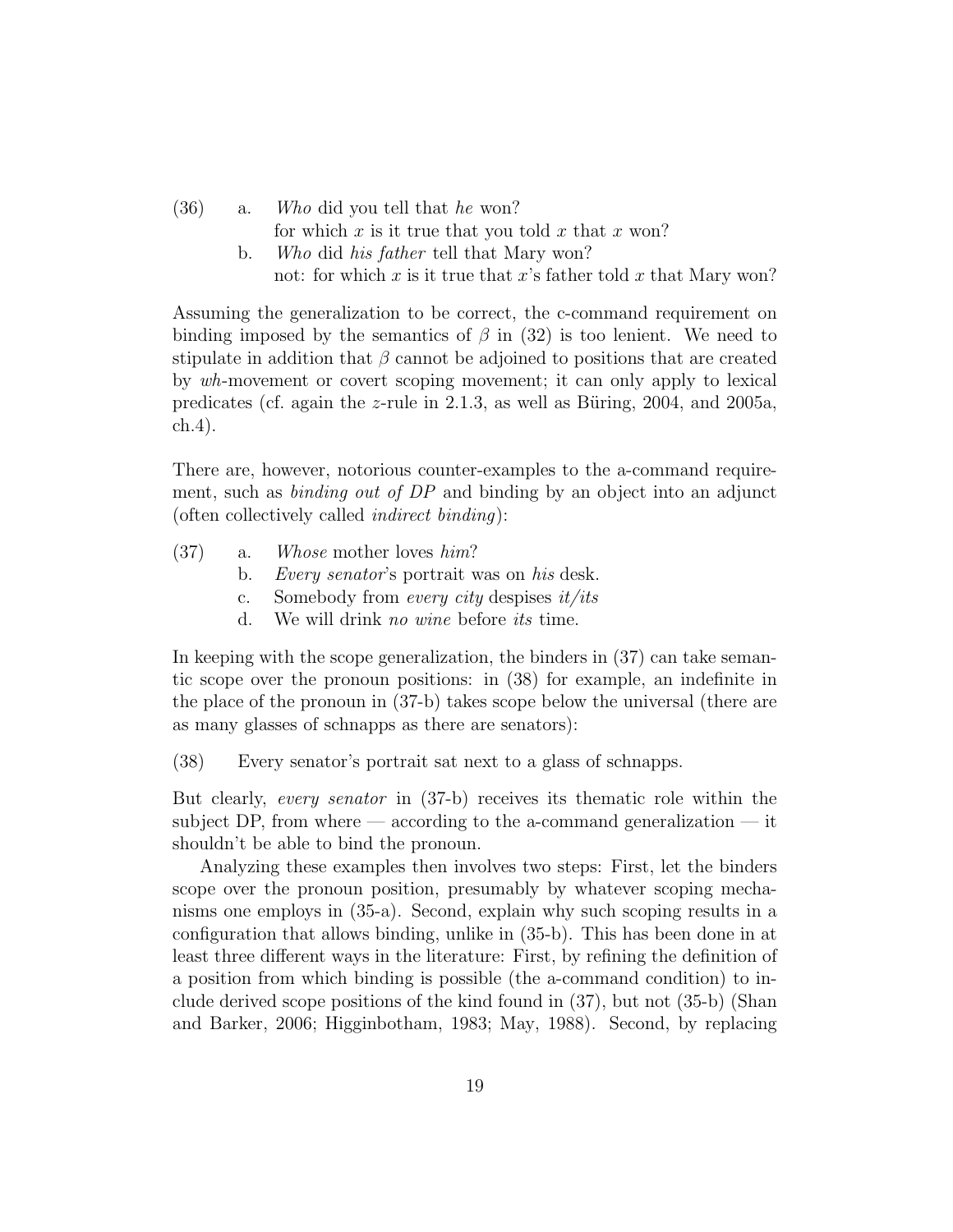- (36) a. Who did you tell that he won? for which  $x$  is it true that you told  $x$  that  $x$  won?
	- b. Who did his father tell that Mary won? not: for which x is it true that x's father told x that Mary won?

Assuming the generalization to be correct, the c-command requirement on binding imposed by the semantics of  $\beta$  in (32) is too lenient. We need to stipulate in addition that  $\beta$  cannot be adjoined to positions that are created by wh-movement or covert scoping movement; it can only apply to lexical predicates (cf. again the z-rule in 2.1.3, as well as Büring, 2004, and 2005a, ch.4).

There are, however, notorious counter-examples to the a-command requirement, such as binding out of DP and binding by an object into an adjunct (often collectively called indirect binding):

- (37) a. Whose mother loves him?
	- b. Every senator's portrait was on his desk.
	- c. Somebody from *every city* despises  $it/its$
	- d. We will drink no wine before its time.

In keeping with the scope generalization, the binders in (37) can take semantic scope over the pronoun positions: in (38) for example, an indefinite in the place of the pronoun in (37-b) takes scope below the universal (there are as many glasses of schnapps as there are senators):

(38) Every senator's portrait sat next to a glass of schnapps.

But clearly, every senator in (37-b) receives its thematic role within the subject DP, from where  $\sim$  according to the a-command generalization  $\sim$  it shouldn't be able to bind the pronoun.

Analyzing these examples then involves two steps: First, let the binders scope over the pronoun position, presumably by whatever scoping mechanisms one employs in (35-a). Second, explain why such scoping results in a configuration that allows binding, unlike in (35-b). This has been done in at least three different ways in the literature: First, by refining the definition of a position from which binding is possible (the a-command condition) to include derived scope positions of the kind found in (37), but not (35-b) (Shan and Barker, 2006; Higginbotham, 1983; May, 1988). Second, by replacing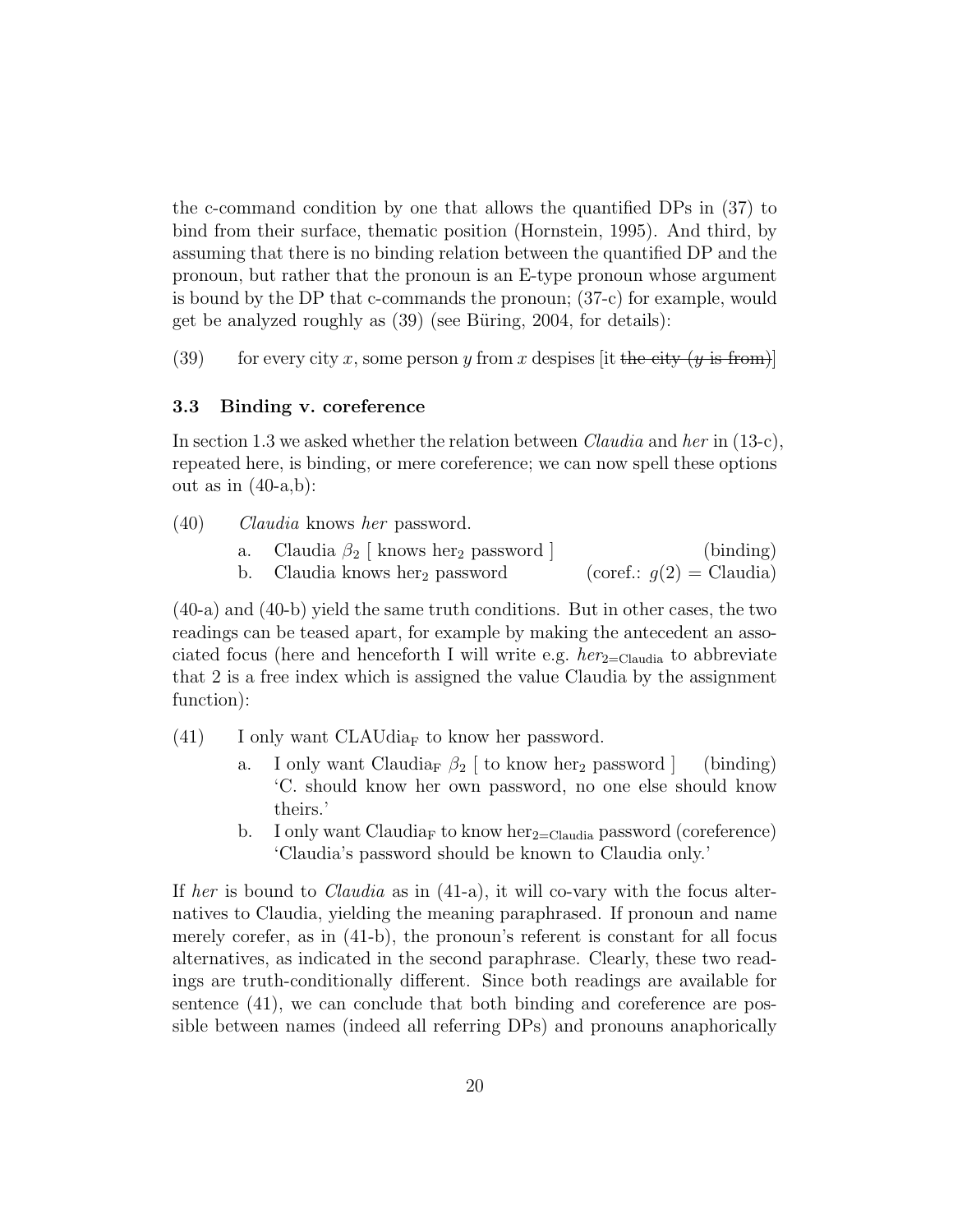the c-command condition by one that allows the quantified DPs in (37) to bind from their surface, thematic position (Hornstein, 1995). And third, by assuming that there is no binding relation between the quantified DP and the pronoun, but rather that the pronoun is an E-type pronoun whose argument is bound by the DP that c-commands the pronoun; (37-c) for example, would get be analyzed roughly as  $(39)$  (see Büring, 2004, for details):

(39) for every city x, some person y from x despises [it the city (y is from)]

#### 3.3 Binding v. coreference

In section 1.3 we asked whether the relation between *Claudia* and her in  $(13-c)$ , repeated here, is binding, or mere coreference; we can now spell these options out as in  $(40-a,b)$ :

(40) Claudia knows her password.

| a. Claudia $\beta_2$ [knows her <sub>2</sub> password] | (binding)                  |
|--------------------------------------------------------|----------------------------|
| Claudia knows her <sub>2</sub> password                | $(coref.: g(2) = Claudia)$ |

(40-a) and (40-b) yield the same truth conditions. But in other cases, the two readings can be teased apart, for example by making the antecedent an associated focus (here and henceforth I will write e.g.  $her_{2=Claudia}$  to abbreviate that 2 is a free index which is assigned the value Claudia by the assignment function):

- $(41)$  I only want CLAUdia<sub>F</sub> to know her password.
	- a. I only want Claudia<sub>F</sub>  $\beta_2$  [ to know her<sub>2</sub> password ] (binding) 'C. should know her own password, no one else should know theirs.'
	- b. I only want Claudia<sub>F</sub> to know her<sub>2=Claudia</sub> password (coreference) 'Claudia's password should be known to Claudia only.'

If her is bound to *Claudia* as in  $(41-a)$ , it will co-vary with the focus alternatives to Claudia, yielding the meaning paraphrased. If pronoun and name merely corefer, as in (41-b), the pronoun's referent is constant for all focus alternatives, as indicated in the second paraphrase. Clearly, these two readings are truth-conditionally different. Since both readings are available for sentence (41), we can conclude that both binding and coreference are possible between names (indeed all referring DPs) and pronouns anaphorically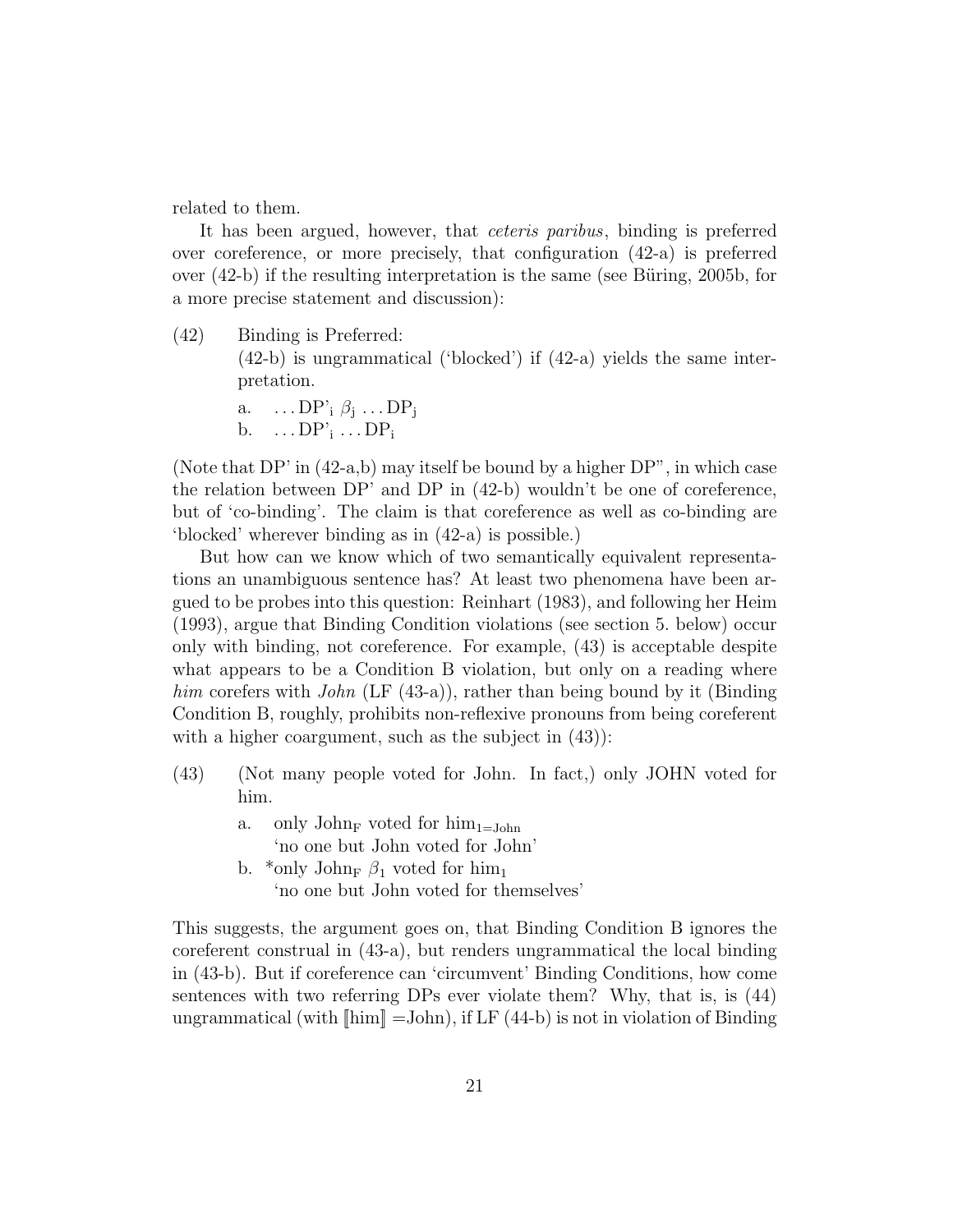related to them.

It has been argued, however, that *ceteris paribus*, binding is preferred over coreference, or more precisely, that configuration (42-a) is preferred over  $(42-b)$  if the resulting interpretation is the same (see Büring, 2005b, for a more precise statement and discussion):

- (42) Binding is Preferred: (42-b) is ungrammatical ('blocked') if (42-a) yields the same interpretation.
	- a.  $\ldots DP$ <sup>'</sup>i  $\beta_j \ldots DP_j$ b.  $...DP'_i...DP_i$

(Note that DP' in (42-a,b) may itself be bound by a higher DP", in which case the relation between DP' and DP in (42-b) wouldn't be one of coreference, but of 'co-binding'. The claim is that coreference as well as co-binding are 'blocked' wherever binding as in (42-a) is possible.)

But how can we know which of two semantically equivalent representations an unambiguous sentence has? At least two phenomena have been argued to be probes into this question: Reinhart (1983), and following her Heim (1993), argue that Binding Condition violations (see section 5. below) occur only with binding, not coreference. For example, (43) is acceptable despite what appears to be a Condition B violation, but only on a reading where him corefers with *John* (LF  $(43-a)$ ), rather than being bound by it (Binding Condition B, roughly, prohibits non-reflexive pronouns from being coreferent with a higher coargument, such as the subject in  $(43)$ :

- (43) (Not many people voted for John. In fact,) only JOHN voted for him.
	- a. only  $John_F$  voted for  $him_{1=John}$ 'no one but John voted for John'
	- b. \*only John<sub>F</sub>  $\beta_1$  voted for him<sub>1</sub> 'no one but John voted for themselves'

This suggests, the argument goes on, that Binding Condition B ignores the coreferent construal in (43-a), but renders ungrammatical the local binding in (43-b). But if coreference can 'circumvent' Binding Conditions, how come sentences with two referring DPs ever violate them? Why, that is, is (44) ungrammatical (with  $\lVert \text{him} \rVert = \text{John}$ ), if LF (44-b) is not in violation of Binding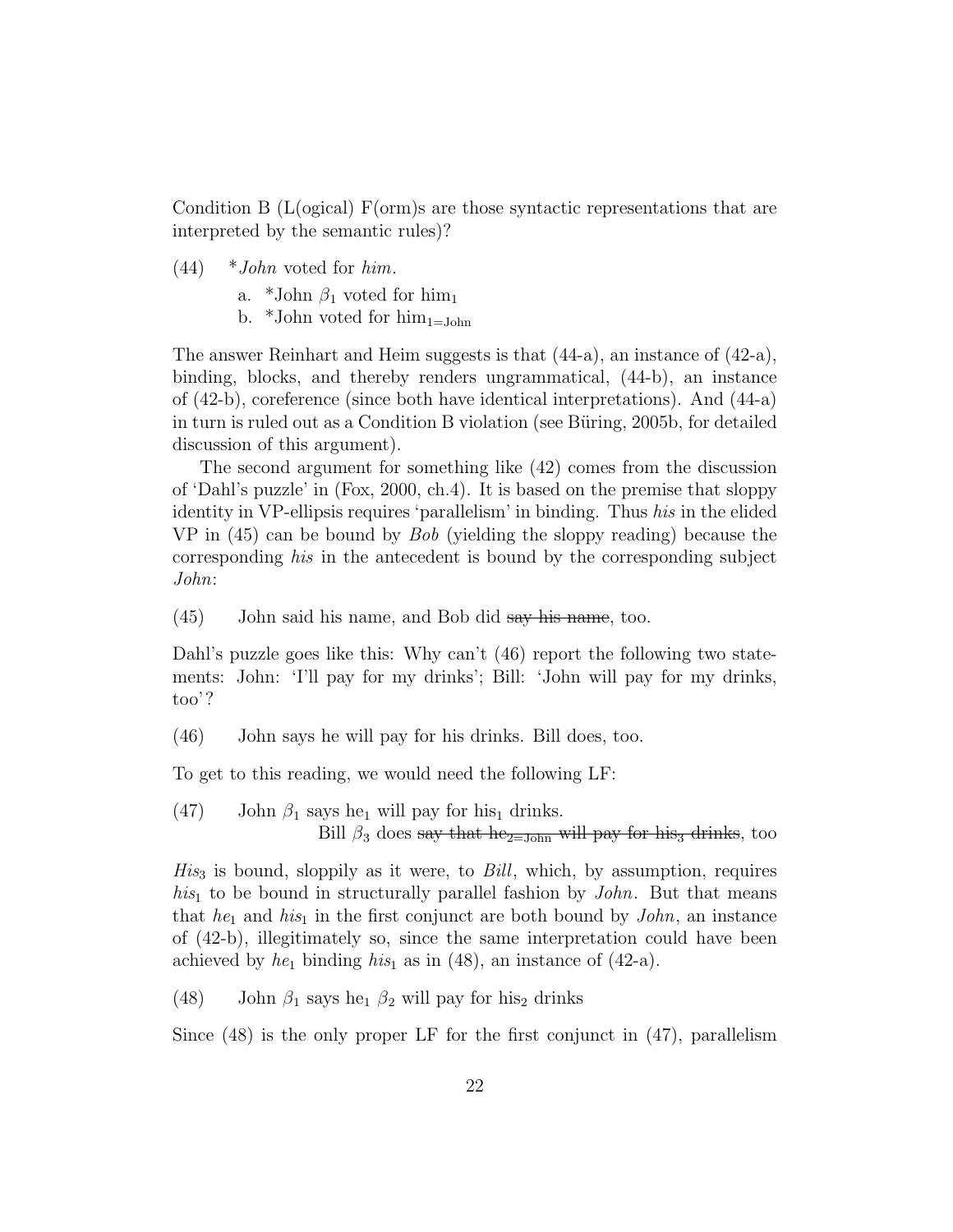Condition B ( $L$ (ogical)  $F$ (orm)s are those syntactic representations that are interpreted by the semantic rules)?

- $(44)$  \* John voted for him.
	- a. \*John  $\beta_1$  voted for him<sub>1</sub>
	- b. \*John voted for  $\lim_{l=John}$

The answer Reinhart and Heim suggests is that (44-a), an instance of (42-a), binding, blocks, and thereby renders ungrammatical, (44-b), an instance of (42-b), coreference (since both have identical interpretations). And (44-a) in turn is ruled out as a Condition B violation (see Büring,  $2005b$ , for detailed discussion of this argument).

The second argument for something like (42) comes from the discussion of 'Dahl's puzzle' in (Fox, 2000, ch.4). It is based on the premise that sloppy identity in VP-ellipsis requires 'parallelism' in binding. Thus his in the elided VP in (45) can be bound by Bob (yielding the sloppy reading) because the corresponding his in the antecedent is bound by the corresponding subject John:

 $(45)$  John said his name, and Bob did say his name, too.

Dahl's puzzle goes like this: Why can't (46) report the following two statements: John: 'I'll pay for my drinks'; Bill: 'John will pay for my drinks, too'?

(46) John says he will pay for his drinks. Bill does, too.

To get to this reading, we would need the following LF:

(47) John  $\beta_1$  says he<sub>1</sub> will pay for his<sub>1</sub> drinks. Bill  $\beta_3$  does say that he<sub>2=John</sub> will pay for his<sub>3</sub> drinks, too

 $His<sub>3</sub>$  is bound, sloppily as it were, to *Bill*, which, by assumption, requires his<sub>1</sub> to be bound in structurally parallel fashion by *John*. But that means that  $he_1$  and his<sub>1</sub> in the first conjunct are both bound by *John*, an instance of (42-b), illegitimately so, since the same interpretation could have been achieved by  $he_1$  binding  $his_1$  as in (48), an instance of (42-a).

(48) John  $\beta_1$  says he<sub>1</sub>  $\beta_2$  will pay for his<sub>2</sub> drinks

Since (48) is the only proper LF for the first conjunct in (47), parallelism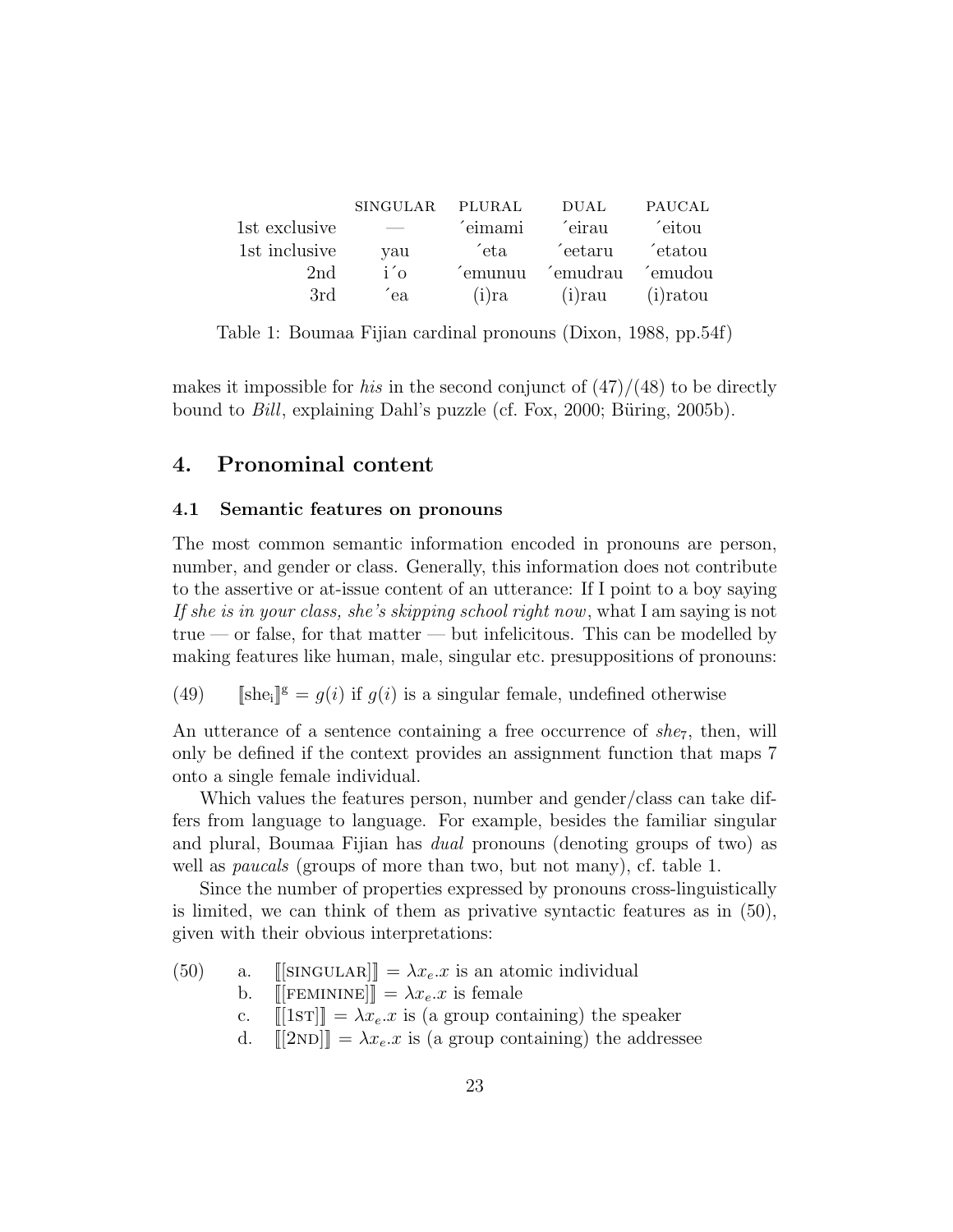|               | <b>SINGULAR</b> | PLURAL   | <b>DUAL</b>   | <b>PAUCAL</b> |
|---------------|-----------------|----------|---------------|---------------|
| 1st exclusive |                 | 'eimami  | <i>e</i> irau | eitou         |
| 1st inclusive | vau             | 'eta     | eetaru        | etatou        |
| 2nd           | i'              | emunuu   | emudrau       | 'emudou       |
| 3rd           | ea.             | $(i)$ ra | $(i)$ rau     | $(i)$ ratou   |

Table 1: Boumaa Fijian cardinal pronouns (Dixon, 1988, pp.54f)

makes it impossible for his in the second conjunct of  $(47)/(48)$  to be directly bound to  $Bill$ , explaining Dahl's puzzle (cf. Fox, 2000; Büring, 2005b).

### 4. Pronominal content

#### 4.1 Semantic features on pronouns

The most common semantic information encoded in pronouns are person, number, and gender or class. Generally, this information does not contribute to the assertive or at-issue content of an utterance: If I point to a boy saying If she is in your class, she's skipping school right now, what I am saying is not true — or false, for that matter — but infelicitous. This can be modelled by making features like human, male, singular etc. presuppositions of pronouns:

(49) [she<sub>i</sub>]<sup>g</sup> =  $g(i)$  if  $g(i)$  is a singular female, undefined otherwise

An utterance of a sentence containing a free occurrence of  $she<sub>7</sub>$ , then, will only be defined if the context provides an assignment function that maps 7 onto a single female individual.

Which values the features person, number and gender/class can take differs from language to language. For example, besides the familiar singular and plural, Boumaa Fijian has dual pronouns (denoting groups of two) as well as *paucals* (groups of more than two, but not many), cf. table 1.

Since the number of properties expressed by pronouns cross-linguistically is limited, we can think of them as privative syntactic features as in (50), given with their obvious interpretations:

(50) a. 
$$
[[\text{SINGULAR}]] = \lambda x_e \cdot x
$$
 is an atomic individual

b.  $\llbracket$ [FEMININE]] =  $\lambda x_e.x$  is female

- c.  $[[1s]!] = \lambda x_e \cdot x$  is (a group containing) the speaker
- d.  $[[2ND]] = \lambda x_e \cdot x$  is (a group containing) the addressee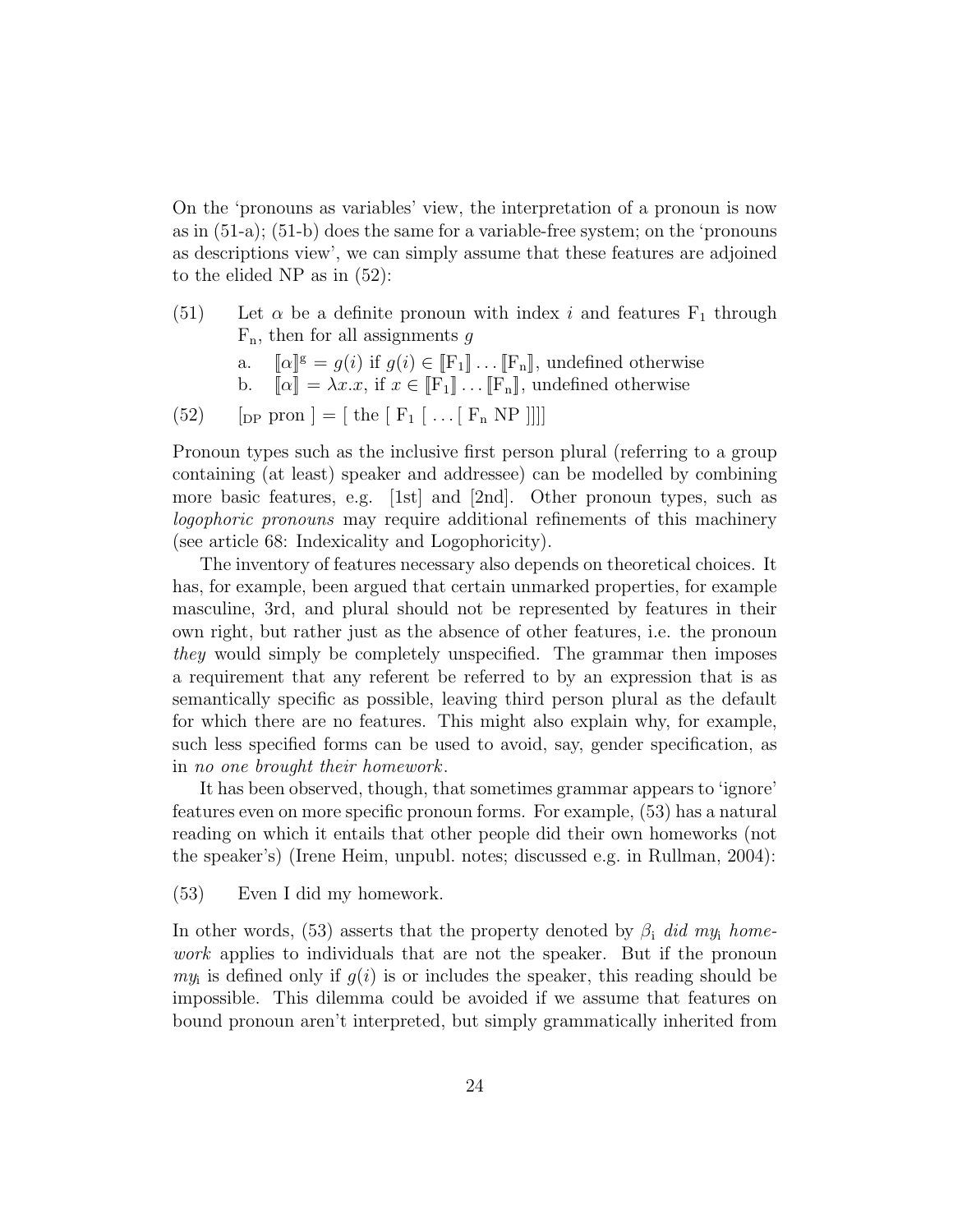On the 'pronouns as variables' view, the interpretation of a pronoun is now as in (51-a); (51-b) does the same for a variable-free system; on the 'pronouns as descriptions view', we can simply assume that these features are adjoined to the elided NP as in (52):

- (51) Let  $\alpha$  be a definite pronoun with index i and features  $F_1$  through  $F_n$ , then for all assignments g
	- a.  $\lbrack \lbrack \alpha \rbrack^g = g(i)$  if  $g(i) \in \lbrack \lbrack \text{F}_1 \rbrack$  ...  $\lbrack \lbrack \text{F}_n \rbrack$ , undefined otherwise
	- b.  $\llbracket \alpha \rrbracket = \lambda x.x$ , if  $x \in \llbracket \mathrm{F}_1 \rrbracket$ ...  $\llbracket \mathrm{F}_n \rrbracket$ , undefined otherwise
- (52)  $[p_P \text{ pron}] = [\text{ the } [F_1 \text{ } [\dots \text{ } F_n \text{ NP}]]]$

Pronoun types such as the inclusive first person plural (referring to a group containing (at least) speaker and addressee) can be modelled by combining more basic features, e.g. [1st] and [2nd]. Other pronoun types, such as logophoric pronouns may require additional refinements of this machinery (see article 68: Indexicality and Logophoricity).

The inventory of features necessary also depends on theoretical choices. It has, for example, been argued that certain unmarked properties, for example masculine, 3rd, and plural should not be represented by features in their own right, but rather just as the absence of other features, i.e. the pronoun they would simply be completely unspecified. The grammar then imposes a requirement that any referent be referred to by an expression that is as semantically specific as possible, leaving third person plural as the default for which there are no features. This might also explain why, for example, such less specified forms can be used to avoid, say, gender specification, as in no one brought their homework.

It has been observed, though, that sometimes grammar appears to 'ignore' features even on more specific pronoun forms. For example, (53) has a natural reading on which it entails that other people did their own homeworks (not the speaker's) (Irene Heim, unpubl. notes; discussed e.g. in Rullman, 2004):

(53) Even I did my homework.

In other words, (53) asserts that the property denoted by  $\beta_i$  did my<sub>i</sub> homework applies to individuals that are not the speaker. But if the pronoun  $my_i$  is defined only if  $g(i)$  is or includes the speaker, this reading should be impossible. This dilemma could be avoided if we assume that features on bound pronoun aren't interpreted, but simply grammatically inherited from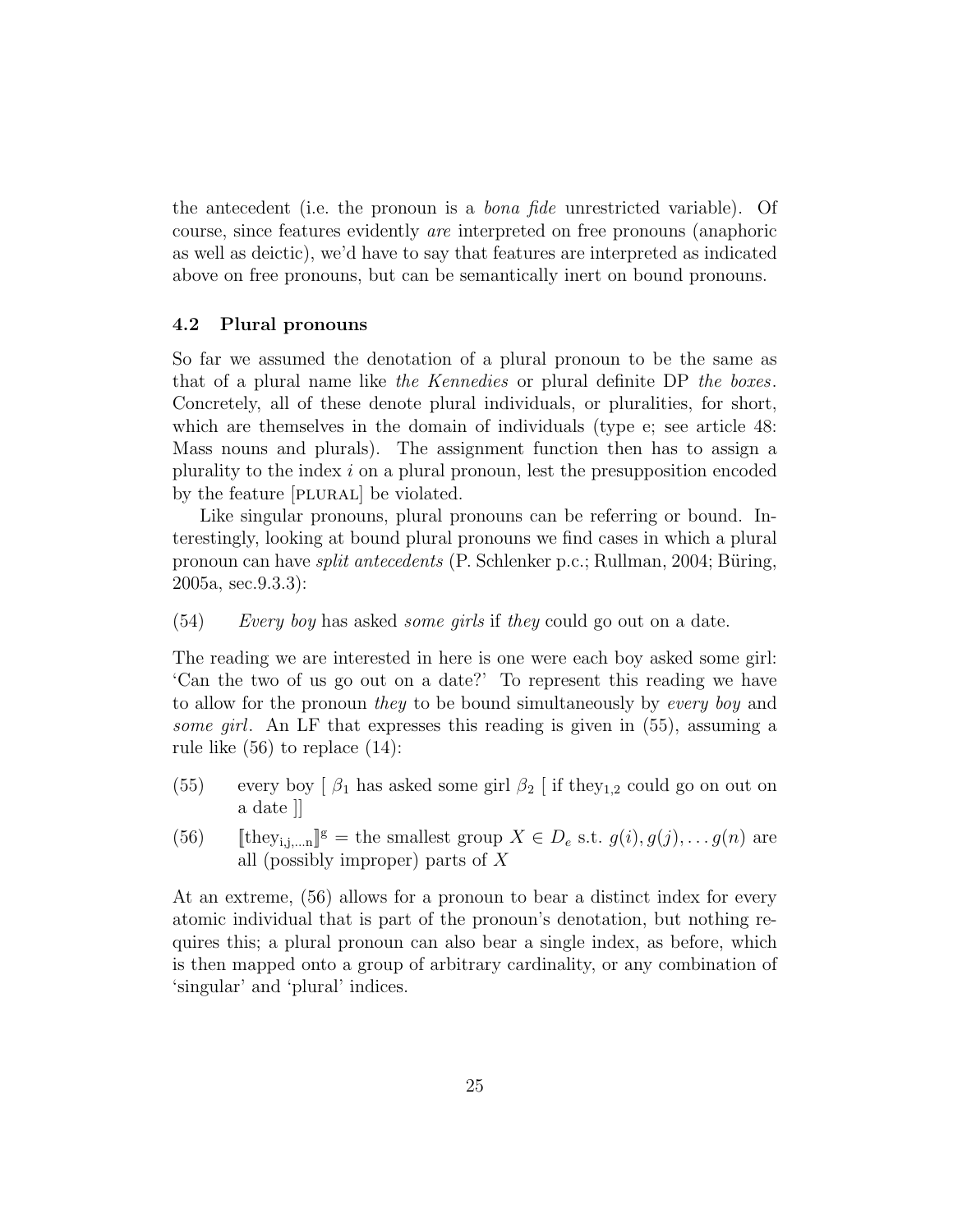the antecedent (i.e. the pronoun is a bona fide unrestricted variable). Of course, since features evidently are interpreted on free pronouns (anaphoric as well as deictic), we'd have to say that features are interpreted as indicated above on free pronouns, but can be semantically inert on bound pronouns.

#### 4.2 Plural pronouns

So far we assumed the denotation of a plural pronoun to be the same as that of a plural name like the Kennedies or plural definite DP the boxes. Concretely, all of these denote plural individuals, or pluralities, for short, which are themselves in the domain of individuals (type e; see article 48: Mass nouns and plurals). The assignment function then has to assign a plurality to the index  $i$  on a plural pronoun, lest the presupposition encoded by the feature **PLURAL** be violated.

Like singular pronouns, plural pronouns can be referring or bound. Interestingly, looking at bound plural pronouns we find cases in which a plural pronoun can have *split antecedents* (P. Schlenker p.c.; Rullman, 2004; Büring, 2005a, sec.9.3.3):

(54) Every boy has asked some girls if they could go out on a date.

The reading we are interested in here is one were each boy asked some girl: 'Can the two of us go out on a date?' To represent this reading we have to allow for the pronoun they to be bound simultaneously by every boy and some girl. An LF that expresses this reading is given in (55), assuming a rule like (56) to replace (14):

- (55) every boy  $\left[\begin{array}{c} \beta_1 \end{array}\right]$  has asked some girl  $\beta_2$  [ if they<sub>1,2</sub> could go on out on a date ]]
- (56) [[they<sub>i,j,...n</sub>]<sup>g</sup> = the smallest group  $X \in D_e$  s.t.  $g(i), g(j), \ldots g(n)$  are all (possibly improper) parts of X

At an extreme, (56) allows for a pronoun to bear a distinct index for every atomic individual that is part of the pronoun's denotation, but nothing requires this; a plural pronoun can also bear a single index, as before, which is then mapped onto a group of arbitrary cardinality, or any combination of 'singular' and 'plural' indices.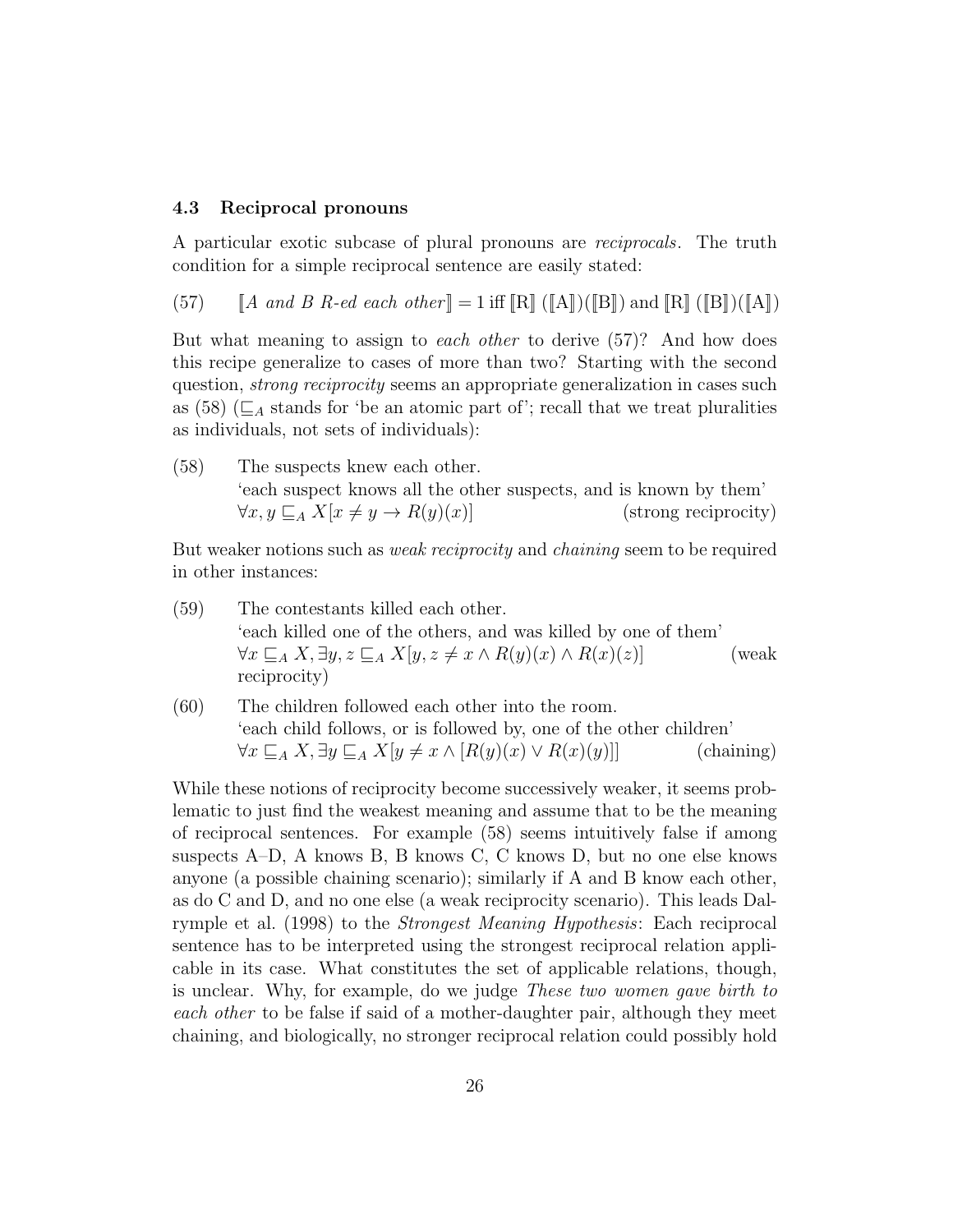#### 4.3 Reciprocal pronouns

A particular exotic subcase of plural pronouns are reciprocals. The truth condition for a simple reciprocal sentence are easily stated:

(57)  $\mathbb{A}$  and B R-ed each other  $\mathbb{I} = 1$  iff  $\mathbb{R} \mathbb{I} (\mathbb{A} \mathbb{I}) (\mathbb{B} \mathbb{I})$  and  $\mathbb{R} \mathbb{I} (\mathbb{B} \mathbb{I}) (\mathbb{A} \mathbb{I})$ 

But what meaning to assign to each other to derive (57)? And how does this recipe generalize to cases of more than two? Starting with the second question, strong reciprocity seems an appropriate generalization in cases such as (58) ( $\sqsubseteq_A$  stands for 'be an atomic part of'; recall that we treat pluralities as individuals, not sets of individuals):

(58) The suspects knew each other. 'each suspect knows all the other suspects, and is known by them'  $\forall x, y \sqsubseteq_A X[x \neq y \rightarrow R(y)(x)]$  (strong reciprocity)

But weaker notions such as weak reciprocity and chaining seem to be required in other instances:

- (59) The contestants killed each other. 'each killed one of the others, and was killed by one of them'  $\forall x \sqsubseteq_A X, \exists y, z \sqsubseteq_A X[y, z \neq x \land R(y)(x) \land R(x)(z)]$  (weak reciprocity)
- (60) The children followed each other into the room. 'each child follows, or is followed by, one of the other children'  $\forall x \sqsubseteq_A X, \exists y \sqsubseteq_A X[y \neq x \land [R(y)(x) \lor R(x)(y)]$  (chaining)

While these notions of reciprocity become successively weaker, it seems problematic to just find the weakest meaning and assume that to be the meaning of reciprocal sentences. For example (58) seems intuitively false if among suspects A–D, A knows B, B knows C, C knows D, but no one else knows anyone (a possible chaining scenario); similarly if A and B know each other, as do C and D, and no one else (a weak reciprocity scenario). This leads Dalrymple et al. (1998) to the Strongest Meaning Hypothesis: Each reciprocal sentence has to be interpreted using the strongest reciprocal relation applicable in its case. What constitutes the set of applicable relations, though, is unclear. Why, for example, do we judge These two women gave birth to each other to be false if said of a mother-daughter pair, although they meet chaining, and biologically, no stronger reciprocal relation could possibly hold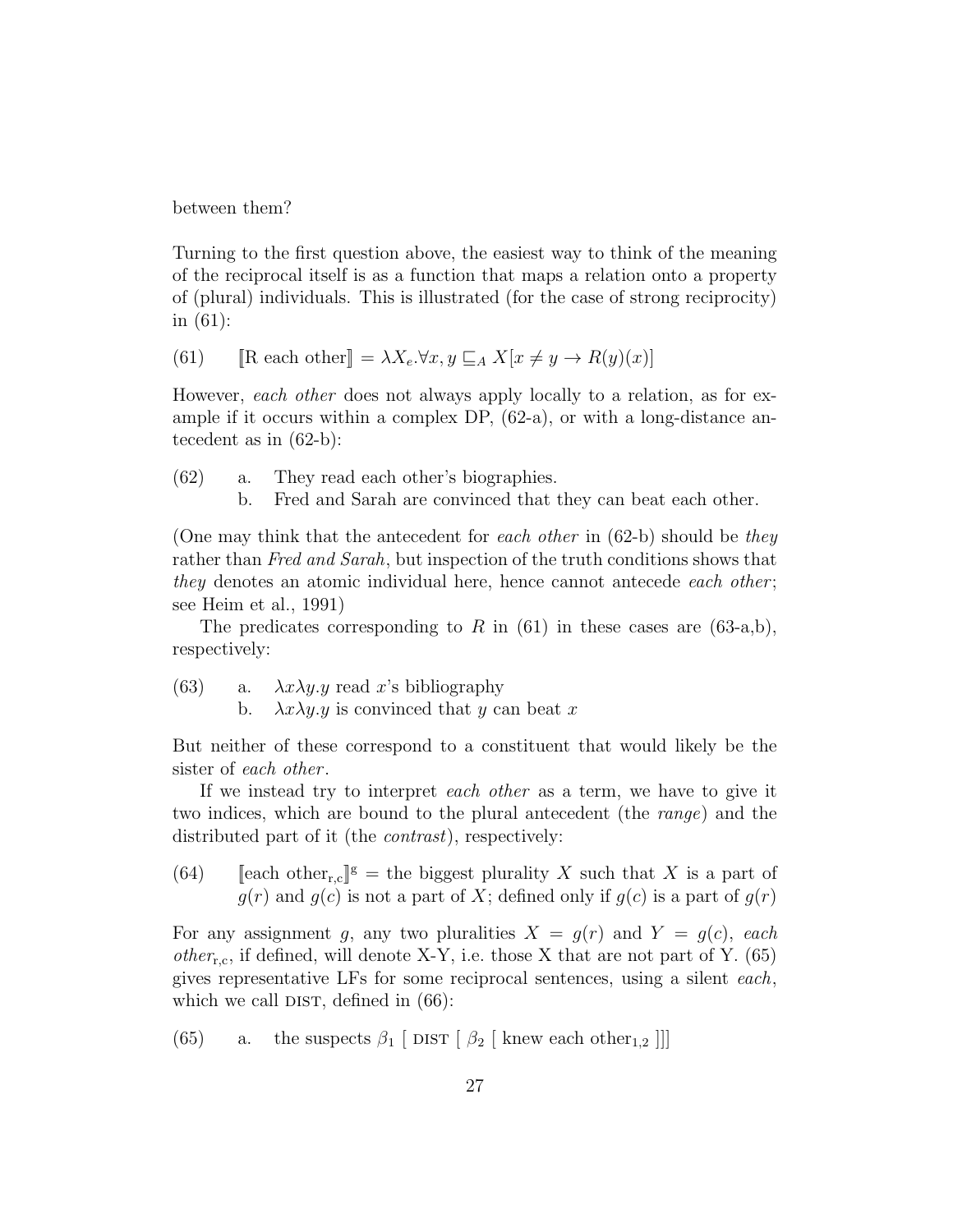between them?

Turning to the first question above, the easiest way to think of the meaning of the reciprocal itself is as a function that maps a relation onto a property of (plural) individuals. This is illustrated (for the case of strong reciprocity) in (61):

(61) [R each other] = 
$$
\lambda X_e \forall x, y \sqsubseteq_A X[x \neq y \rightarrow R(y)(x)]
$$

However, each other does not always apply locally to a relation, as for example if it occurs within a complex DP, (62-a), or with a long-distance antecedent as in (62-b):

(62) a. They read each other's biographies. b. Fred and Sarah are convinced that they can beat each other.

(One may think that the antecedent for each other in (62-b) should be they rather than Fred and Sarah, but inspection of the truth conditions shows that they denotes an atomic individual here, hence cannot antecede each other; see Heim et al., 1991)

The predicates corresponding to R in  $(61)$  in these cases are  $(63-a,b)$ , respectively:

(63) a.  $\lambda x \lambda y \cdot y$  read x's bibliography b.  $\lambda x \lambda y \cdot y$  is convinced that y can beat x

But neither of these correspond to a constituent that would likely be the sister of *each* other.

If we instead try to interpret each other as a term, we have to give it two indices, which are bound to the plural antecedent (the range) and the distributed part of it (the *contrast*), respectively:

(64) [[each other<sub>r,c</sub>]<sup>g</sup> = the biggest plurality X such that X is a part of  $g(r)$  and  $g(c)$  is not a part of X; defined only if  $g(c)$  is a part of  $g(r)$ 

For any assignment g, any two pluralities  $X = g(r)$  and  $Y = g(c)$ , each *other<sub>r,c</sub>*, if defined, will denote X-Y, i.e. those X that are not part of Y. (65) gives representative LFs for some reciprocal sentences, using a silent each, which we call DIST, defined in  $(66)$ :

(65) a. the suspects  $\beta_1$  [DIST  $[\beta_2$  [knew each other<sub>1,2</sub> ]]]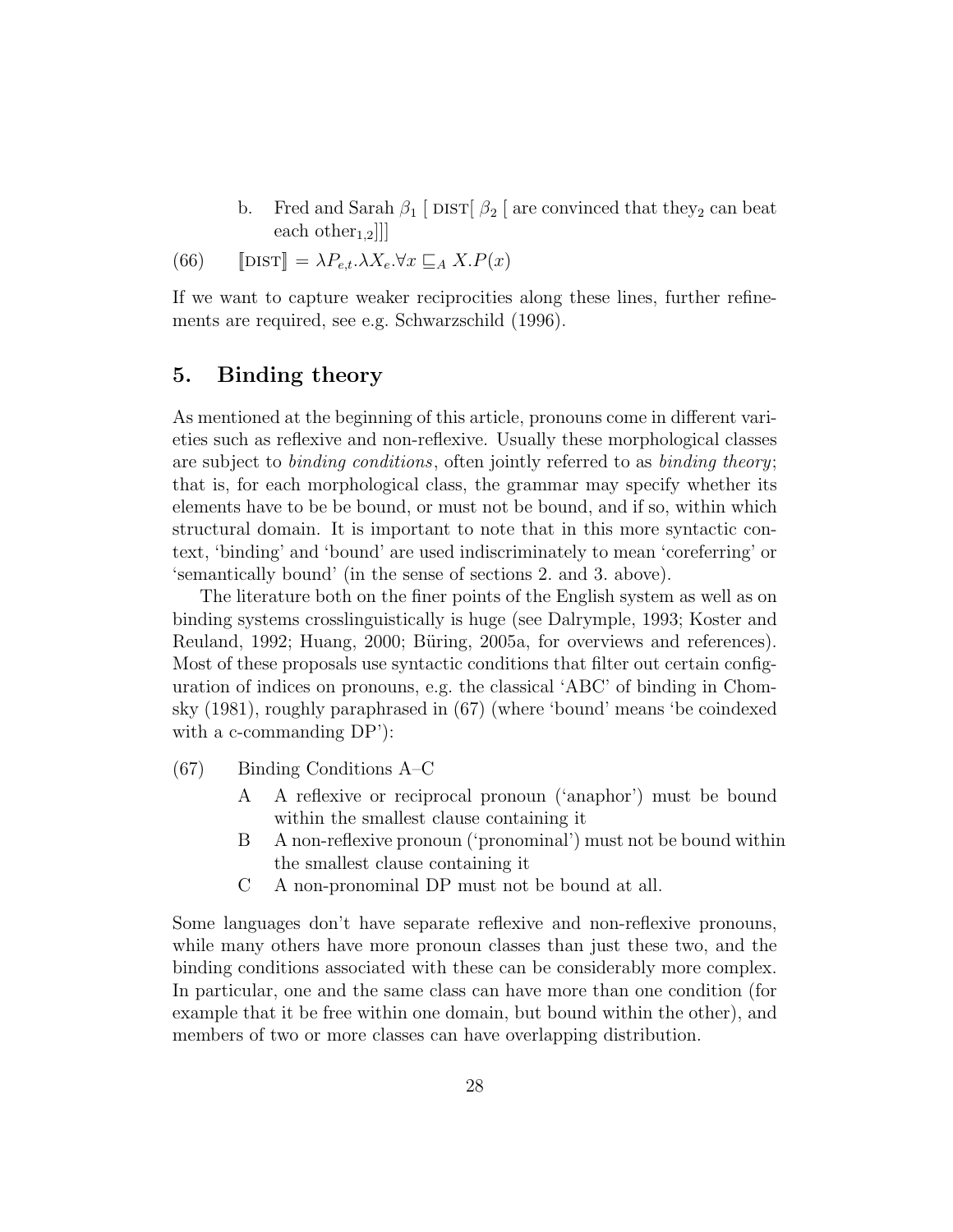b. Fred and Sarah  $\beta_1$  [DIST]  $\beta_2$  [ are convinced that they<sub>2</sub> can beat each other<sub>1.2</sub>]]

(66) 
$$
\llbracket \text{DIST} \rrbracket = \lambda P_{e,t}.\lambda X_e.\forall x \sqsubseteq_A X.P(x)
$$

If we want to capture weaker reciprocities along these lines, further refinements are required, see e.g. Schwarzschild (1996).

# 5. Binding theory

As mentioned at the beginning of this article, pronouns come in different varieties such as reflexive and non-reflexive. Usually these morphological classes are subject to *binding conditions*, often jointly referred to as *binding theory*; that is, for each morphological class, the grammar may specify whether its elements have to be be bound, or must not be bound, and if so, within which structural domain. It is important to note that in this more syntactic context, 'binding' and 'bound' are used indiscriminately to mean 'coreferring' or 'semantically bound' (in the sense of sections 2. and 3. above).

The literature both on the finer points of the English system as well as on binding systems crosslinguistically is huge (see Dalrymple, 1993; Koster and Reuland, 1992; Huang, 2000; Büring, 2005a, for overviews and references). Most of these proposals use syntactic conditions that filter out certain configuration of indices on pronouns, e.g. the classical 'ABC' of binding in Chomsky (1981), roughly paraphrased in (67) (where 'bound' means 'be coindexed with a c-commanding DP'):

- (67) Binding Conditions A–C
	- A A reflexive or reciprocal pronoun ('anaphor') must be bound within the smallest clause containing it
	- B A non-reflexive pronoun ('pronominal') must not be bound within the smallest clause containing it
	- C A non-pronominal DP must not be bound at all.

Some languages don't have separate reflexive and non-reflexive pronouns, while many others have more pronoun classes than just these two, and the binding conditions associated with these can be considerably more complex. In particular, one and the same class can have more than one condition (for example that it be free within one domain, but bound within the other), and members of two or more classes can have overlapping distribution.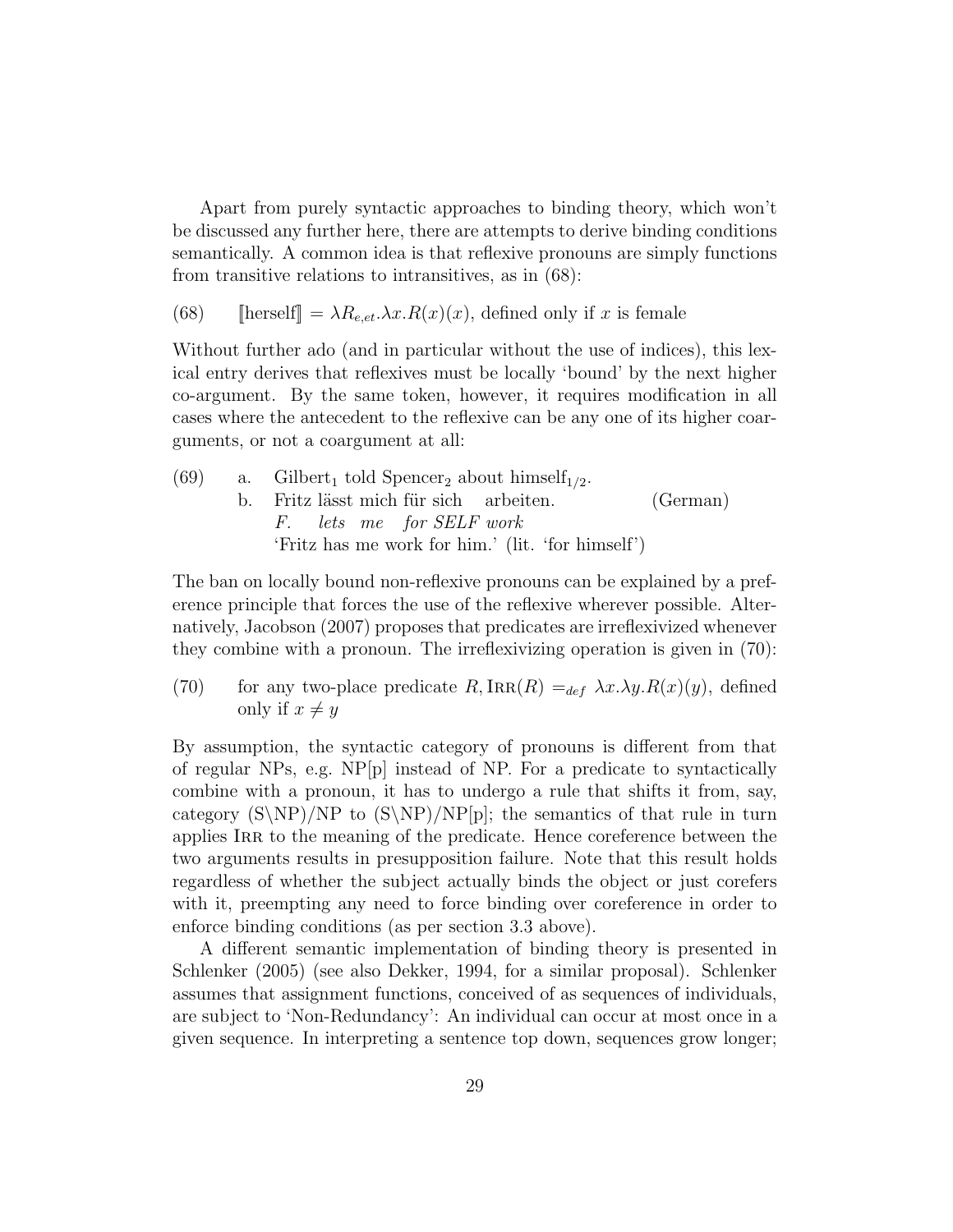Apart from purely syntactic approaches to binding theory, which won't be discussed any further here, there are attempts to derive binding conditions semantically. A common idea is that reflexive pronouns are simply functions from transitive relations to intransitives, as in (68):

(68) [herself] = 
$$
\lambda R_{e,et} \lambda x.R(x)(x)
$$
, defined only if x is female

Without further ado (and in particular without the use of indices), this lexical entry derives that reflexives must be locally 'bound' by the next higher co-argument. By the same token, however, it requires modification in all cases where the antecedent to the reflexive can be any one of its higher coarguments, or not a coargument at all:

(69) a. Gilbert<sub>1</sub> told Spencer<sub>2</sub> about himself<sub>1/2</sub>. b. Fritz lässt mich für sich F. lets me for SELF work arbeiten. (German) 'Fritz has me work for him.' (lit. 'for himself')

The ban on locally bound non-reflexive pronouns can be explained by a preference principle that forces the use of the reflexive wherever possible. Alternatively, Jacobson (2007) proposes that predicates are irreflexivized whenever they combine with a pronoun. The irreflexivizing operation is given in (70):

(70) for any two-place predicate  $R, \text{IRR}(R) =_{def} \lambda x. \lambda y. R(x)(y)$ , defined only if  $x \neq y$ 

By assumption, the syntactic category of pronouns is different from that of regular NPs, e.g. NP[p] instead of NP. For a predicate to syntactically combine with a pronoun, it has to undergo a rule that shifts it from, say, category  $(S\NP)/NP$  to  $(S\NP)/NP[p]$ ; the semantics of that rule in turn applies IRR to the meaning of the predicate. Hence coreference between the two arguments results in presupposition failure. Note that this result holds regardless of whether the subject actually binds the object or just corefers with it, preempting any need to force binding over coreference in order to enforce binding conditions (as per section 3.3 above).

A different semantic implementation of binding theory is presented in Schlenker (2005) (see also Dekker, 1994, for a similar proposal). Schlenker assumes that assignment functions, conceived of as sequences of individuals, are subject to 'Non-Redundancy': An individual can occur at most once in a given sequence. In interpreting a sentence top down, sequences grow longer;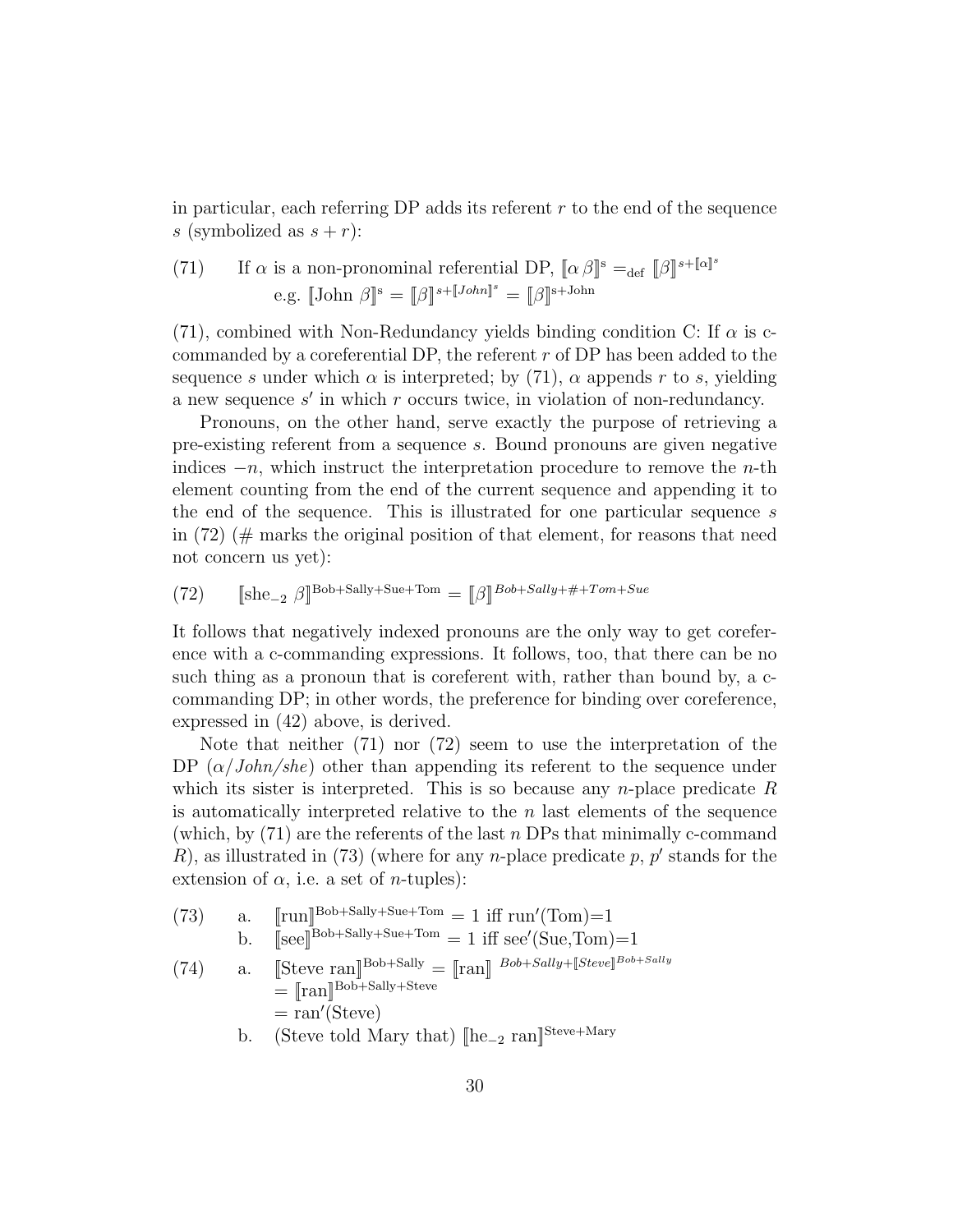in particular, each referring DP adds its referent  $r$  to the end of the sequence s (symbolized as  $s + r$ ):

(71) If 
$$
\alpha
$$
 is a non-pronominal referential DP,  $[\![\alpha\beta]\!]^s =_{\text{def}} [\![\beta]\!]^{s + [\![\alpha]\!]^s}$   
e.g.  $[\![\text{John }\beta]\!]^s = [\![\beta]\!]^{s + [\![\text{John}\!]^s} = [\![\beta]\!]^{s + \text{John}}$ 

(71), combined with Non-Redundancy yields binding condition C: If  $\alpha$  is ccommanded by a coreferential DP, the referent  $r$  of DP has been added to the sequence s under which  $\alpha$  is interpreted; by (71),  $\alpha$  appends r to s, yielding a new sequence  $s'$  in which  $r$  occurs twice, in violation of non-redundancy.

Pronouns, on the other hand, serve exactly the purpose of retrieving a pre-existing referent from a sequence s. Bound pronouns are given negative indices  $-n$ , which instruct the interpretation procedure to remove the *n*-th element counting from the end of the current sequence and appending it to the end of the sequence. This is illustrated for one particular sequence s in  $(72)$  (# marks the original position of that element, for reasons that need not concern us yet):

(72) 
$$
\llbracket \text{she}_{-2} \ \beta \rrbracket^{\text{Bob} + \text{Sally} + \text{Sue} + \text{Tom}} = \llbracket \beta \rrbracket^{Bob + \text{Sally} + \# + \text{Tom} + \text{Sue}}
$$

It follows that negatively indexed pronouns are the only way to get coreference with a c-commanding expressions. It follows, too, that there can be no such thing as a pronoun that is coreferent with, rather than bound by, a ccommanding DP; in other words, the preference for binding over coreference, expressed in (42) above, is derived.

Note that neither (71) nor (72) seem to use the interpretation of the DP  $(\alpha/John/she)$  other than appending its referent to the sequence under which its sister is interpreted. This is so because any *n*-place predicate  $R$ is automatically interpreted relative to the  $n$  last elements of the sequence (which, by  $(71)$  are the referents of the last n DPs that minimally c-command R), as illustrated in (73) (where for any *n*-place predicate  $p$ ,  $p'$  stands for the extension of  $\alpha$ , i.e. a set of *n*-tuples):

(73) a.  $\[\text{run}\]^{\text{Bob}+\text{Sally}+\text{Sue}+\text{Tom}}=1\]\text{iff run}'(\text{Tom})=1$ b.  $[\text{see}]\text{Bob+Sally+Sue+Tom} = 1 \text{ iff } \text{see}(\text{Sue},\text{Tom})=1$ 

(74) a. [Steve ran] 
$$
Bob+Sally =
$$
 [ran]  $Bob+Sally+[Steve]^{Bob+Sally}$   
\n
$$
=
$$
 [ran]  $Bob+Sally+Steve$   
\n
$$
=
$$
 ran'(Steve)  
\n
$$
S_{\text{t}} = \frac{S_{\text{t}}}{S_{\text{t}}}
$$

b. (Steve told Mary that)  $[\text{he}_{-2} \text{ ran}]^{\text{Steve+Mary}}$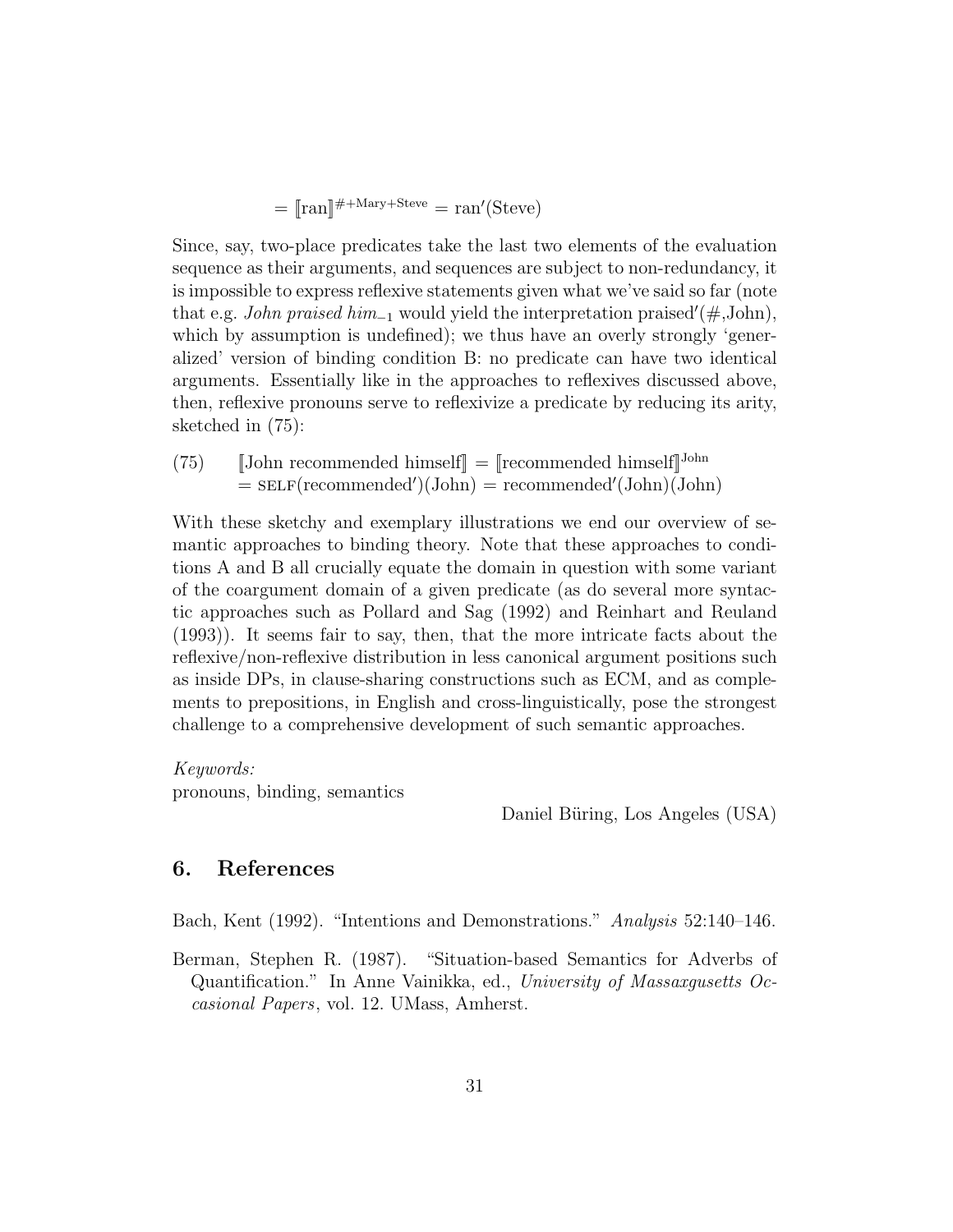$=\left[\tan\right]^{\#+\text{Mary+Steve}} = \tan'(\text{Steve})$ 

Since, say, two-place predicates take the last two elements of the evaluation sequence as their arguments, and sequences are subject to non-redundancy, it is impossible to express reflexive statements given what we've said so far (note that e.g. *John praised him*<sub>-1</sub> would yield the interpretation praised'(#,John), which by assumption is undefined); we thus have an overly strongly 'generalized' version of binding condition B: no predicate can have two identical arguments. Essentially like in the approaches to reflexives discussed above, then, reflexive pronouns serve to reflexivize a predicate by reducing its arity, sketched in (75):

(75) [John recommended himself] =  $[$ recommended himself $]$ <sup>John</sup>  $=$  SELF(recommended')(John) = recommended'(John)(John)

With these sketchy and exemplary illustrations we end our overview of semantic approaches to binding theory. Note that these approaches to conditions A and B all crucially equate the domain in question with some variant of the coargument domain of a given predicate (as do several more syntactic approaches such as Pollard and Sag (1992) and Reinhart and Reuland (1993)). It seems fair to say, then, that the more intricate facts about the reflexive/non-reflexive distribution in less canonical argument positions such as inside DPs, in clause-sharing constructions such as ECM, and as complements to prepositions, in English and cross-linguistically, pose the strongest challenge to a comprehensive development of such semantic approaches.

Keywords: pronouns, binding, semantics

Daniel Büring, Los Angeles (USA)

## 6. References

Bach, Kent (1992). "Intentions and Demonstrations." Analysis 52:140–146.

Berman, Stephen R. (1987). "Situation-based Semantics for Adverbs of Quantification." In Anne Vainikka, ed., University of Massaxgusetts Occasional Papers, vol. 12. UMass, Amherst.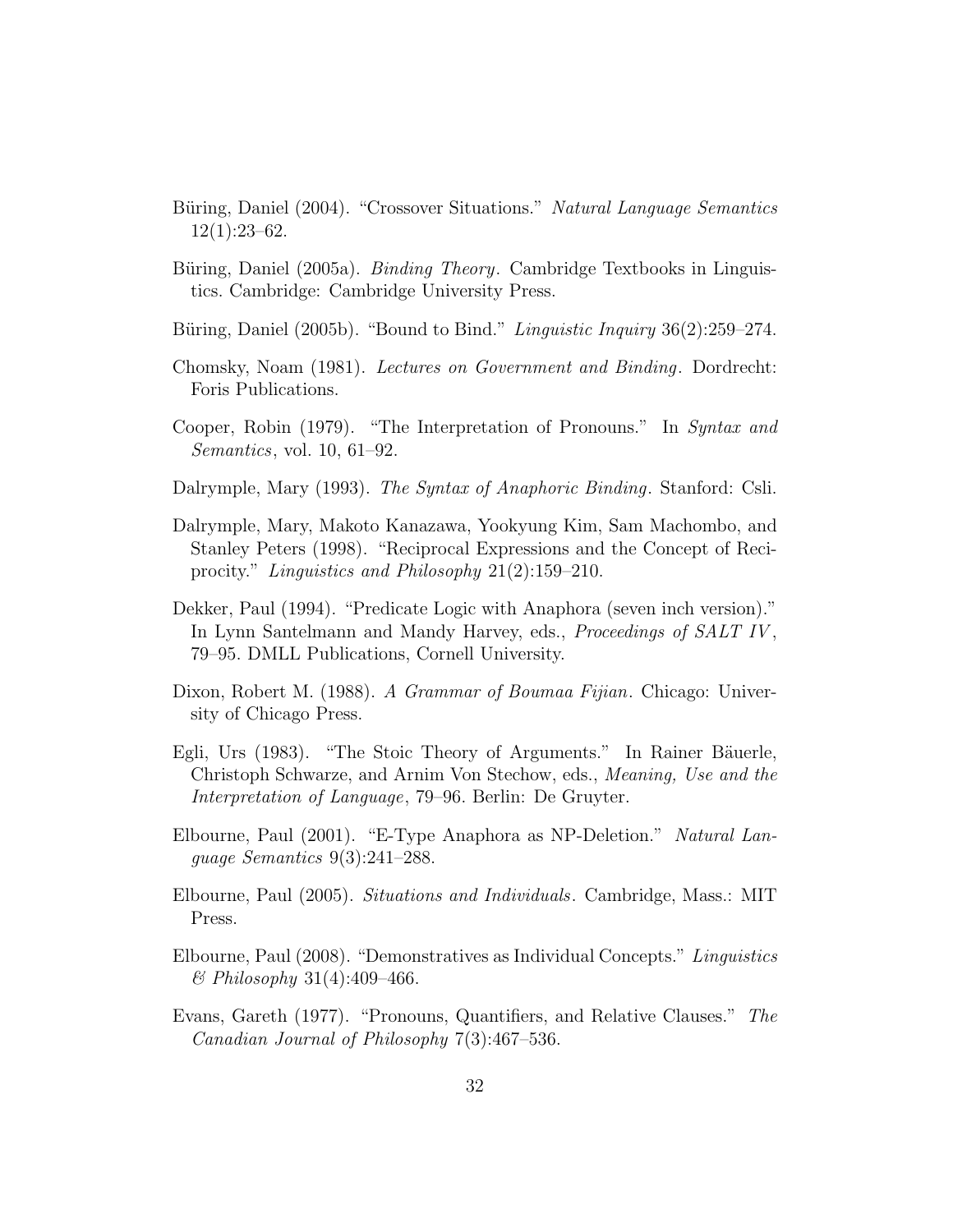- Büring, Daniel (2004). "Crossover Situations." Natural Language Semantics  $12(1):23-62.$
- Büring, Daniel (2005a). *Binding Theory*. Cambridge Textbooks in Linguistics. Cambridge: Cambridge University Press.
- Büring, Daniel (2005b). "Bound to Bind." *Linguistic Inquiry*  $36(2):259-274$ .
- Chomsky, Noam (1981). Lectures on Government and Binding. Dordrecht: Foris Publications.
- Cooper, Robin (1979). "The Interpretation of Pronouns." In Syntax and Semantics, vol. 10, 61–92.
- Dalrymple, Mary (1993). The Syntax of Anaphoric Binding. Stanford: Csli.
- Dalrymple, Mary, Makoto Kanazawa, Yookyung Kim, Sam Machombo, and Stanley Peters (1998). "Reciprocal Expressions and the Concept of Reciprocity." Linguistics and Philosophy 21(2):159–210.
- Dekker, Paul (1994). "Predicate Logic with Anaphora (seven inch version)." In Lynn Santelmann and Mandy Harvey, eds., *Proceedings of SALT IV*, 79–95. DMLL Publications, Cornell University.
- Dixon, Robert M. (1988). A Grammar of Boumaa Fijian. Chicago: University of Chicago Press.
- Egli, Urs (1983). "The Stoic Theory of Arguments." In Rainer Bäuerle, Christoph Schwarze, and Arnim Von Stechow, eds., Meaning, Use and the Interpretation of Language, 79–96. Berlin: De Gruyter.
- Elbourne, Paul (2001). "E-Type Anaphora as NP-Deletion." Natural Language Semantics 9(3):241–288.
- Elbourne, Paul (2005). Situations and Individuals. Cambridge, Mass.: MIT Press.
- Elbourne, Paul (2008). "Demonstratives as Individual Concepts." Linguistics  $\&$  Philosophy 31(4):409–466.
- Evans, Gareth (1977). "Pronouns, Quantifiers, and Relative Clauses." The Canadian Journal of Philosophy 7(3):467–536.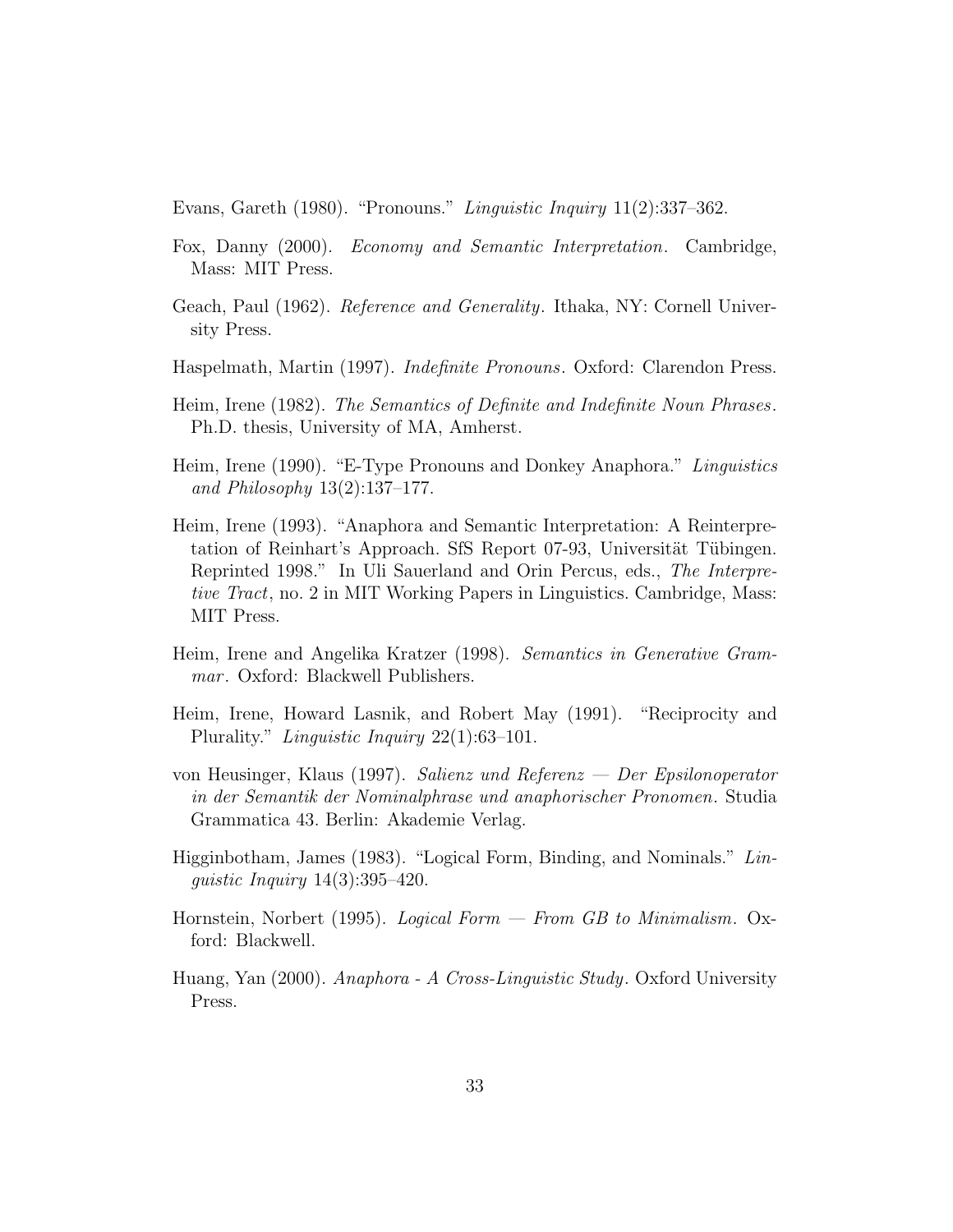Evans, Gareth (1980). "Pronouns." Linguistic Inquiry 11(2):337–362.

- Fox, Danny (2000). Economy and Semantic Interpretation. Cambridge, Mass: MIT Press.
- Geach, Paul (1962). Reference and Generality. Ithaka, NY: Cornell University Press.
- Haspelmath, Martin (1997). Indefinite Pronouns. Oxford: Clarendon Press.
- Heim, Irene (1982). The Semantics of Definite and Indefinite Noun Phrases. Ph.D. thesis, University of MA, Amherst.
- Heim, Irene (1990). "E-Type Pronouns and Donkey Anaphora." Linguistics and Philosophy 13(2):137–177.
- Heim, Irene (1993). "Anaphora and Semantic Interpretation: A Reinterpretation of Reinhart's Approach. SfS Report 07-93, Universität Tübingen. Reprinted 1998." In Uli Sauerland and Orin Percus, eds., The Interpretive Tract, no. 2 in MIT Working Papers in Linguistics. Cambridge, Mass: MIT Press.
- Heim, Irene and Angelika Kratzer (1998). Semantics in Generative Grammar. Oxford: Blackwell Publishers.
- Heim, Irene, Howard Lasnik, and Robert May (1991). "Reciprocity and Plurality." *Linguistic Inquiry* 22(1):63–101.
- von Heusinger, Klaus (1997). Salienz und Referenz Der Epsilonoperator in der Semantik der Nominalphrase und anaphorischer Pronomen. Studia Grammatica 43. Berlin: Akademie Verlag.
- Higginbotham, James (1983). "Logical Form, Binding, and Nominals." Linguistic Inquiry 14(3):395–420.
- Hornstein, Norbert (1995). Logical Form  $\equiv$  From GB to Minimalism. Oxford: Blackwell.
- Huang, Yan (2000). Anaphora A Cross-Linguistic Study. Oxford University Press.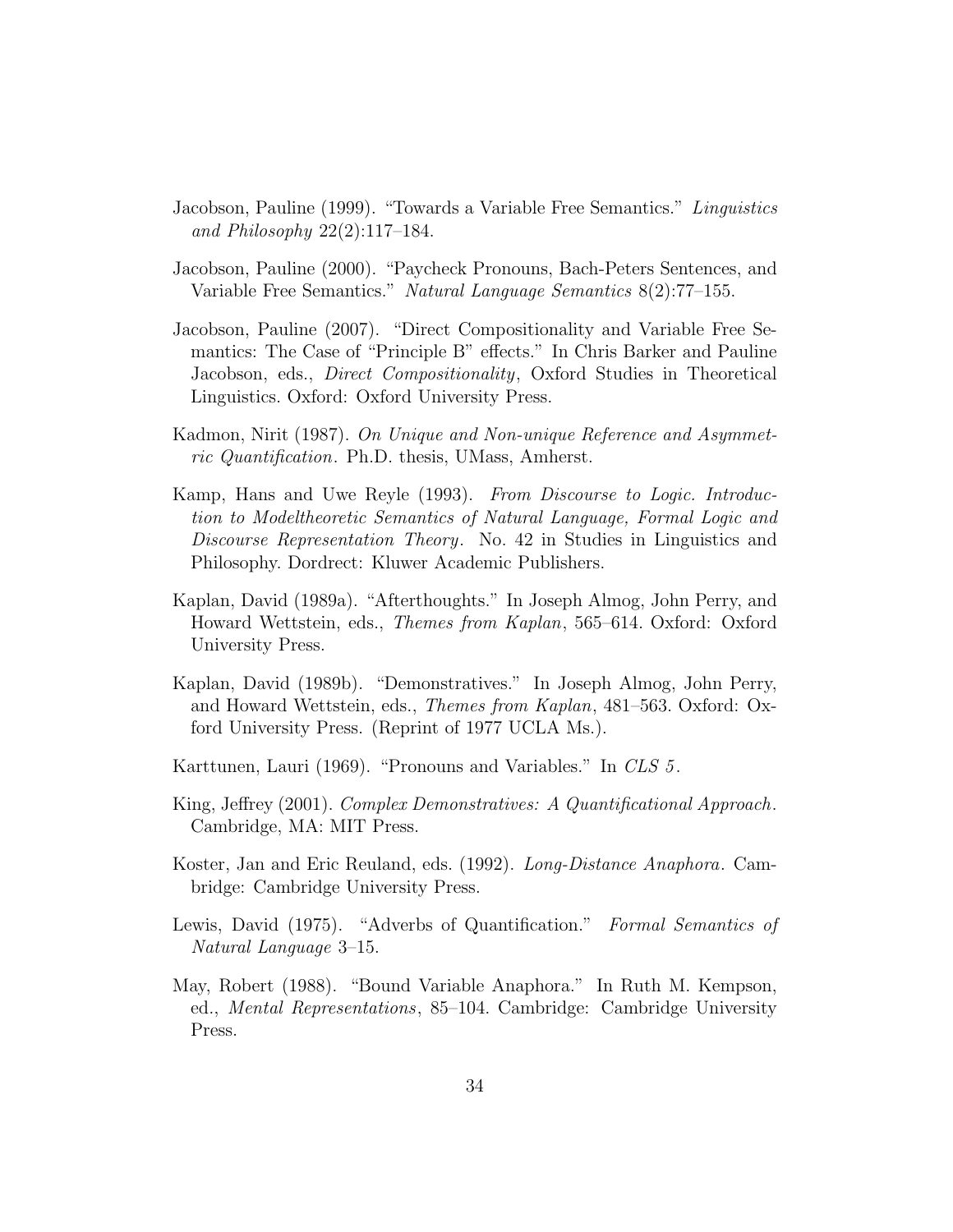- Jacobson, Pauline (1999). "Towards a Variable Free Semantics." Linguistics and Philosophy 22(2):117–184.
- Jacobson, Pauline (2000). "Paycheck Pronouns, Bach-Peters Sentences, and Variable Free Semantics." Natural Language Semantics 8(2):77–155.
- Jacobson, Pauline (2007). "Direct Compositionality and Variable Free Semantics: The Case of "Principle B" effects." In Chris Barker and Pauline Jacobson, eds., Direct Compositionality, Oxford Studies in Theoretical Linguistics. Oxford: Oxford University Press.
- Kadmon, Nirit (1987). On Unique and Non-unique Reference and Asymmetric Quantification. Ph.D. thesis, UMass, Amherst.
- Kamp, Hans and Uwe Reyle (1993). From Discourse to Logic. Introduction to Modeltheoretic Semantics of Natural Language, Formal Logic and Discourse Representation Theory. No. 42 in Studies in Linguistics and Philosophy. Dordrect: Kluwer Academic Publishers.
- Kaplan, David (1989a). "Afterthoughts." In Joseph Almog, John Perry, and Howard Wettstein, eds., Themes from Kaplan, 565–614. Oxford: Oxford University Press.
- Kaplan, David (1989b). "Demonstratives." In Joseph Almog, John Perry, and Howard Wettstein, eds., Themes from Kaplan, 481–563. Oxford: Oxford University Press. (Reprint of 1977 UCLA Ms.).
- Karttunen, Lauri (1969). "Pronouns and Variables." In CLS 5 .
- King, Jeffrey (2001). Complex Demonstratives: A Quantificational Approach. Cambridge, MA: MIT Press.
- Koster, Jan and Eric Reuland, eds. (1992). Long-Distance Anaphora. Cambridge: Cambridge University Press.
- Lewis, David (1975). "Adverbs of Quantification." Formal Semantics of Natural Language 3–15.
- May, Robert (1988). "Bound Variable Anaphora." In Ruth M. Kempson, ed., Mental Representations, 85–104. Cambridge: Cambridge University Press.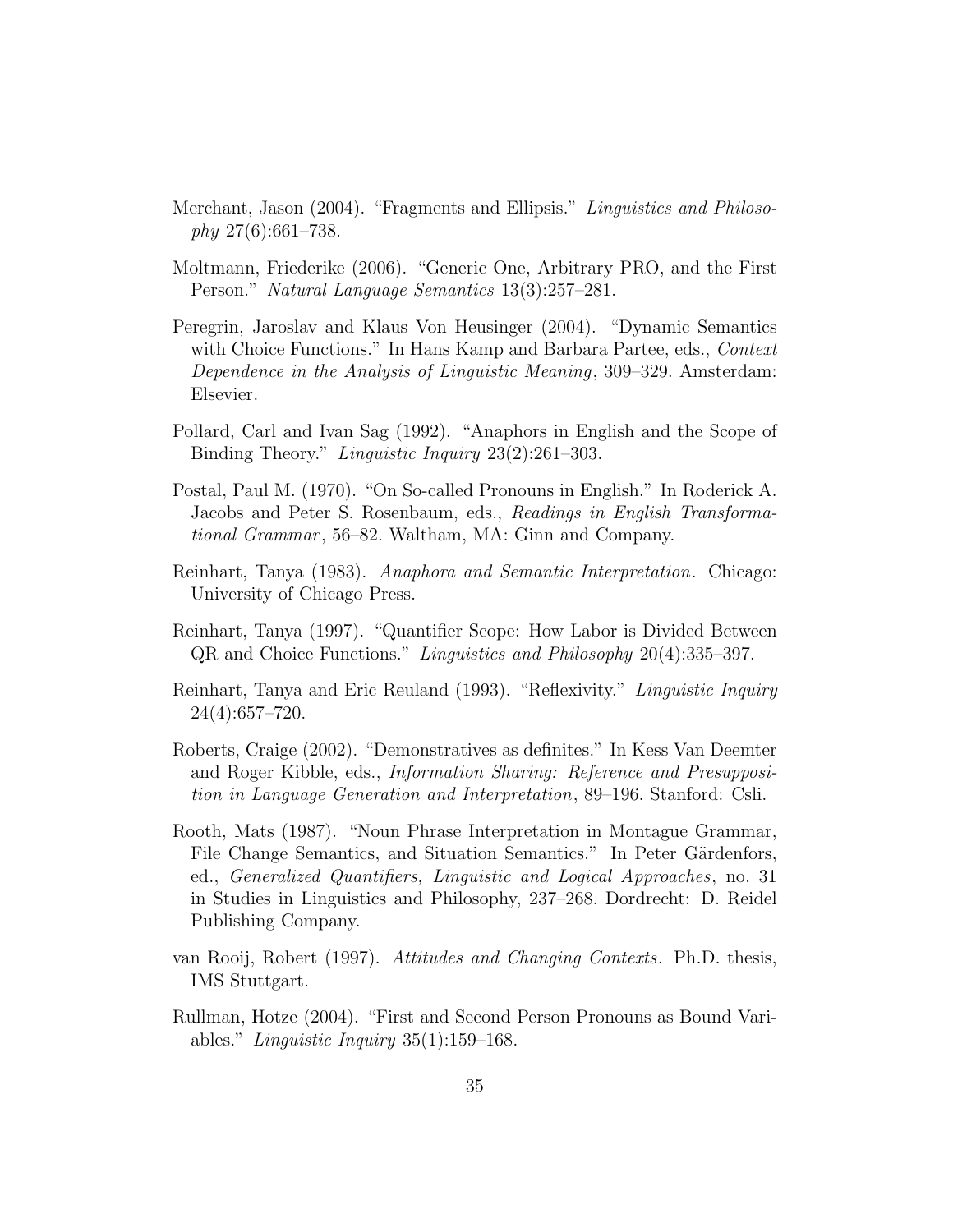- Merchant, Jason (2004). "Fragments and Ellipsis." Linguistics and Philosophy  $27(6)$ :661–738.
- Moltmann, Friederike (2006). "Generic One, Arbitrary PRO, and the First Person." Natural Language Semantics 13(3):257–281.
- Peregrin, Jaroslav and Klaus Von Heusinger (2004). "Dynamic Semantics with Choice Functions." In Hans Kamp and Barbara Partee, eds., *Context* Dependence in the Analysis of Linguistic Meaning, 309–329. Amsterdam: Elsevier.
- Pollard, Carl and Ivan Sag (1992). "Anaphors in English and the Scope of Binding Theory." Linguistic Inquiry 23(2):261–303.
- Postal, Paul M. (1970). "On So-called Pronouns in English." In Roderick A. Jacobs and Peter S. Rosenbaum, eds., Readings in English Transformational Grammar, 56–82. Waltham, MA: Ginn and Company.
- Reinhart, Tanya (1983). Anaphora and Semantic Interpretation. Chicago: University of Chicago Press.
- Reinhart, Tanya (1997). "Quantifier Scope: How Labor is Divided Between QR and Choice Functions." Linguistics and Philosophy 20(4):335–397.
- Reinhart, Tanya and Eric Reuland (1993). "Reflexivity." Linguistic Inquiry 24(4):657–720.
- Roberts, Craige (2002). "Demonstratives as definites." In Kess Van Deemter and Roger Kibble, eds., Information Sharing: Reference and Presupposition in Language Generation and Interpretation, 89–196. Stanford: Csli.
- Rooth, Mats (1987). "Noun Phrase Interpretation in Montague Grammar, File Change Semantics, and Situation Semantics." In Peter Gärdenfors, ed., Generalized Quantifiers, Linguistic and Logical Approaches, no. 31 in Studies in Linguistics and Philosophy, 237–268. Dordrecht: D. Reidel Publishing Company.
- van Rooij, Robert (1997). Attitudes and Changing Contexts. Ph.D. thesis, IMS Stuttgart.
- Rullman, Hotze (2004). "First and Second Person Pronouns as Bound Variables." *Linquistic Inquiry*  $35(1)$ :159–168.